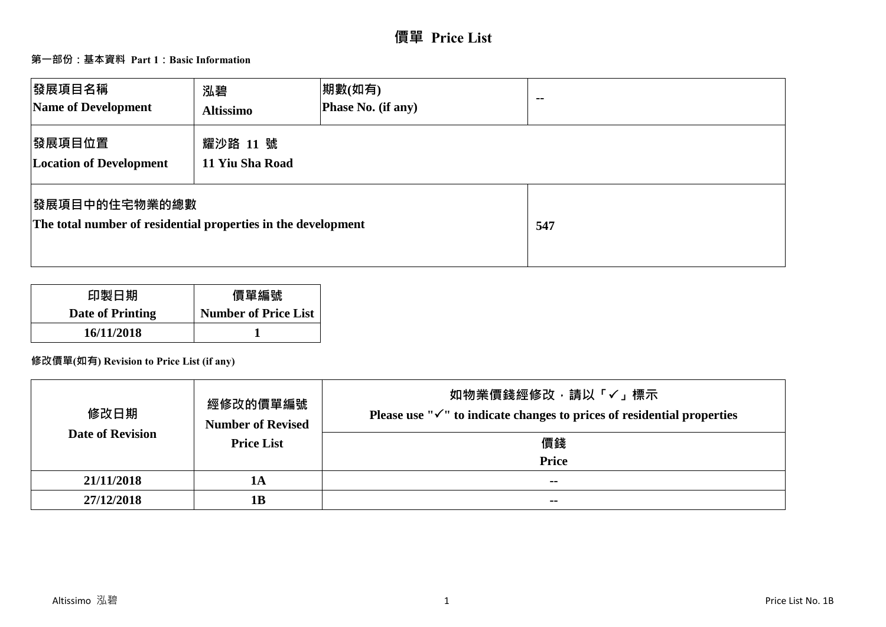# **價單 Price List**

## **第一部份:基本資料 Part 1:Basic Information**

| 發展項目名稱<br>Name of Development                                                         | 泓碧<br><b>Altissimo</b>      | 期數(如有)<br>Phase No. (if any) | $\sim$ $\sim$ |
|---------------------------------------------------------------------------------------|-----------------------------|------------------------------|---------------|
| 發展項目位置<br><b>Location of Development</b>                                              | 耀沙路 11 號<br>11 Yiu Sha Road |                              |               |
| <b>图展項目中的住宅物業的總數</b><br>The total number of residential properties in the development |                             |                              | 547           |

| 印製日期             | 價單編號                        |
|------------------|-----------------------------|
| Date of Printing | <b>Number of Price List</b> |
| 16/11/2018       |                             |

## **修改價單(如有) Revision to Price List (if any)**

| 修改日期                    | 經修改的價單編號<br><b>Number of Revised</b> | 如物業價錢經修改﹐請以「✓」標示<br>Please use " $\checkmark$ " to indicate changes to prices of residential properties |
|-------------------------|--------------------------------------|---------------------------------------------------------------------------------------------------------|
| <b>Date of Revision</b> | <b>Price List</b>                    | 價錢                                                                                                      |
|                         |                                      | <b>Price</b>                                                                                            |
| 21/11/2018              | 1А                                   | $\sim$                                                                                                  |
| 27/12/2018              | 1 <b>B</b>                           | $\sim$ $\sim$                                                                                           |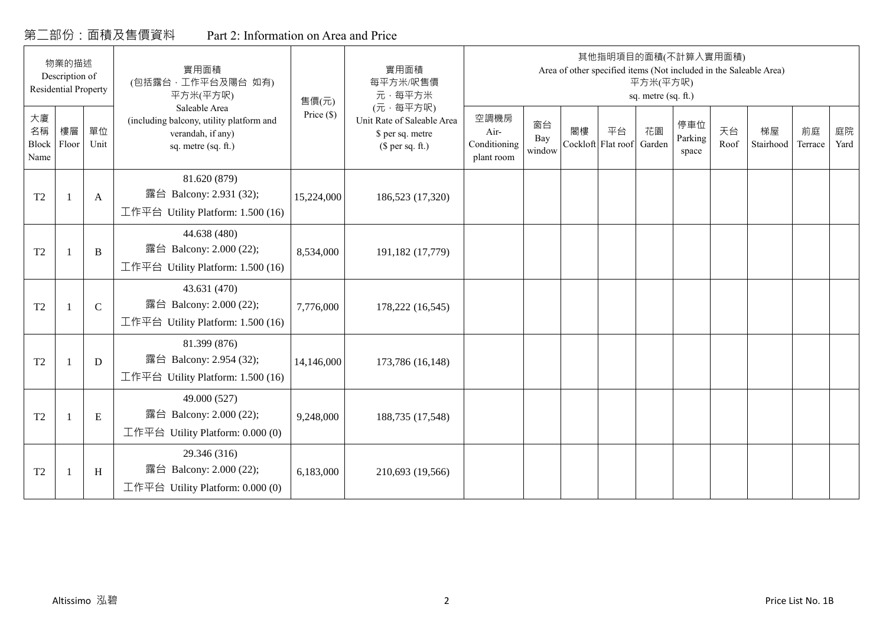## 第二部份:面積及售價資料 Part 2: Information on Area and Price

|                           | 物業的描述<br>Description of<br><b>Residential Property</b> |              | 實用面積<br>(包括露台,工作平台及陽台 如有)<br>平方米(平方呎)                                                                 | 售價(元)        | 實用面積<br>每平方米/呎售價<br>元·每平方米                                                     |                                            |                     |                          |    | 平方米(平方呎)<br>sq. metre (sq. ft.) | 其他指明項目的面積(不計算入實用面積)<br>Area of other specified items (Not included in the Saleable Area) |            |                 |               |            |
|---------------------------|--------------------------------------------------------|--------------|-------------------------------------------------------------------------------------------------------|--------------|--------------------------------------------------------------------------------|--------------------------------------------|---------------------|--------------------------|----|---------------------------------|------------------------------------------------------------------------------------------|------------|-----------------|---------------|------------|
| 大廈<br>名稱<br>Block<br>Name | 樓層<br>Floor                                            | 單位<br>Unit   | Saleable Area<br>(including balcony, utility platform and<br>verandah, if any)<br>sq. metre (sq. ft.) | Price $(\$)$ | (元·每平方呎)<br>Unit Rate of Saleable Area<br>\$ per sq. metre<br>$$$ per sq. ft.) | 空調機房<br>Air-<br>Conditioning<br>plant room | 窗台<br>Bay<br>window | 閣樓<br>Cockloft Flat roof | 平台 | 花園<br>Garden                    | 停車位<br>Parking<br>space                                                                  | 天台<br>Roof | 梯屋<br>Stairhood | 前庭<br>Terrace | 庭院<br>Yard |
| T <sub>2</sub>            |                                                        | $\mathbf{A}$ | 81.620 (879)<br>露台 Balcony: 2.931 (32);<br>工作平台 Utility Platform: 1.500 (16)                          | 15,224,000   | 186,523 (17,320)                                                               |                                            |                     |                          |    |                                 |                                                                                          |            |                 |               |            |
| T <sub>2</sub>            | $\overline{1}$                                         | B            | 44.638 (480)<br>露台 Balcony: 2.000 (22);<br>工作平台 Utility Platform: 1.500 (16)                          | 8,534,000    | 191,182 (17,779)                                                               |                                            |                     |                          |    |                                 |                                                                                          |            |                 |               |            |
| T <sub>2</sub>            |                                                        | $\mathbf C$  | 43.631 (470)<br>露台 Balcony: 2.000 (22);<br>工作平台 Utility Platform: 1.500 (16)                          | 7,776,000    | 178,222 (16,545)                                                               |                                            |                     |                          |    |                                 |                                                                                          |            |                 |               |            |
| T <sub>2</sub>            | $\overline{1}$                                         | D            | 81.399 (876)<br>露台 Balcony: 2.954 (32);<br>工作平台 Utility Platform: 1.500 (16)                          | 14,146,000   | 173,786 (16,148)                                                               |                                            |                     |                          |    |                                 |                                                                                          |            |                 |               |            |
| T <sub>2</sub>            |                                                        | E            | 49.000 (527)<br>露台 Balcony: 2.000 (22);<br>工作平台 Utility Platform: $0.000(0)$                          | 9,248,000    | 188,735 (17,548)                                                               |                                            |                     |                          |    |                                 |                                                                                          |            |                 |               |            |
| T <sub>2</sub>            |                                                        | H            | 29.346 (316)<br>露台 Balcony: 2.000 (22);<br>工作平台 Utility Platform: $0.000(0)$                          | 6,183,000    | 210,693 (19,566)                                                               |                                            |                     |                          |    |                                 |                                                                                          |            |                 |               |            |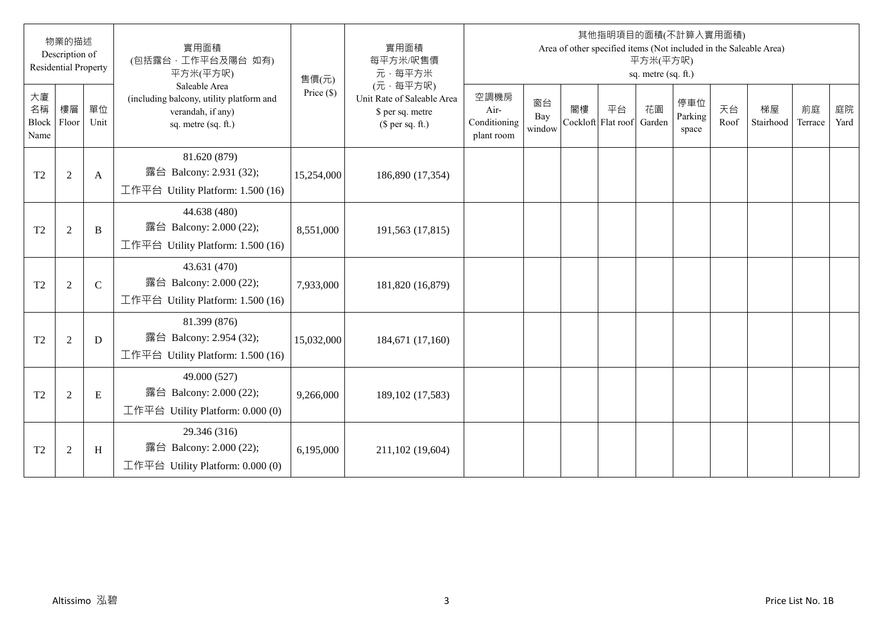|                                  | 物業的描述<br>Description of<br><b>Residential Property</b> |             | 實用面積<br>(包括露台·工作平台及陽台 如有)<br>平方米(平方呎)                                                                 | 售價(元)        | 實用面積<br>每平方米/呎售價<br>元·每平方米                                                     |                                            |                     |                          |    | 平方米(平方呎)<br>sq. metre (sq. ft.) | 其他指明項目的面積(不計算入實用面積)     |            | Area of other specified items (Not included in the Saleable Area) |               |            |
|----------------------------------|--------------------------------------------------------|-------------|-------------------------------------------------------------------------------------------------------|--------------|--------------------------------------------------------------------------------|--------------------------------------------|---------------------|--------------------------|----|---------------------------------|-------------------------|------------|-------------------------------------------------------------------|---------------|------------|
| 大廈<br>名稱<br><b>Block</b><br>Name | 樓層<br>Floor                                            | 單位<br>Unit  | Saleable Area<br>(including balcony, utility platform and<br>verandah, if any)<br>sq. metre (sq. ft.) | Price $(\$)$ | (元·每平方呎)<br>Unit Rate of Saleable Area<br>\$ per sq. metre<br>(\$ per sq. ft.) | 空調機房<br>Air-<br>Conditioning<br>plant room | 窗台<br>Bay<br>window | 閣樓<br>Cockloft Flat roof | 平台 | 花園<br>Garden                    | 停車位<br>Parking<br>space | 天台<br>Roof | 梯屋<br>Stairhood                                                   | 前庭<br>Terrace | 庭院<br>Yard |
| T <sub>2</sub>                   | $\overline{2}$                                         | A           | 81.620 (879)<br>露台 Balcony: 2.931 (32);<br>工作平台 Utility Platform: 1.500 (16)                          | 15,254,000   | 186,890 (17,354)                                                               |                                            |                     |                          |    |                                 |                         |            |                                                                   |               |            |
| T <sub>2</sub>                   | $\overline{2}$                                         | B           | 44.638 (480)<br>露台 Balcony: 2.000 (22);<br>工作平台 Utility Platform: 1.500 (16)                          | 8,551,000    | 191,563 (17,815)                                                               |                                            |                     |                          |    |                                 |                         |            |                                                                   |               |            |
| T <sub>2</sub>                   | 2                                                      | $\mathbf C$ | 43.631 (470)<br>露台 Balcony: 2.000 (22);<br>工作平台 Utility Platform: 1.500 (16)                          | 7,933,000    | 181,820 (16,879)                                                               |                                            |                     |                          |    |                                 |                         |            |                                                                   |               |            |
| T <sub>2</sub>                   | $\overline{2}$                                         | D           | 81.399 (876)<br>露台 Balcony: 2.954 (32);<br>工作平台 Utility Platform: 1.500 (16)                          | 15,032,000   | 184,671 (17,160)                                                               |                                            |                     |                          |    |                                 |                         |            |                                                                   |               |            |
| T <sub>2</sub>                   | $\overline{2}$                                         | E           | 49.000 (527)<br>露台 Balcony: 2.000 (22);<br>工作平台 Utility Platform: 0.000 (0)                           | 9,266,000    | 189, 102 (17, 583)                                                             |                                            |                     |                          |    |                                 |                         |            |                                                                   |               |            |
| T <sub>2</sub>                   | 2                                                      | H           | 29.346 (316)<br>露台 Balcony: 2.000 (22);<br>工作平台 Utility Platform: $0.000(0)$                          | 6,195,000    | 211,102 (19,604)                                                               |                                            |                     |                          |    |                                 |                         |            |                                                                   |               |            |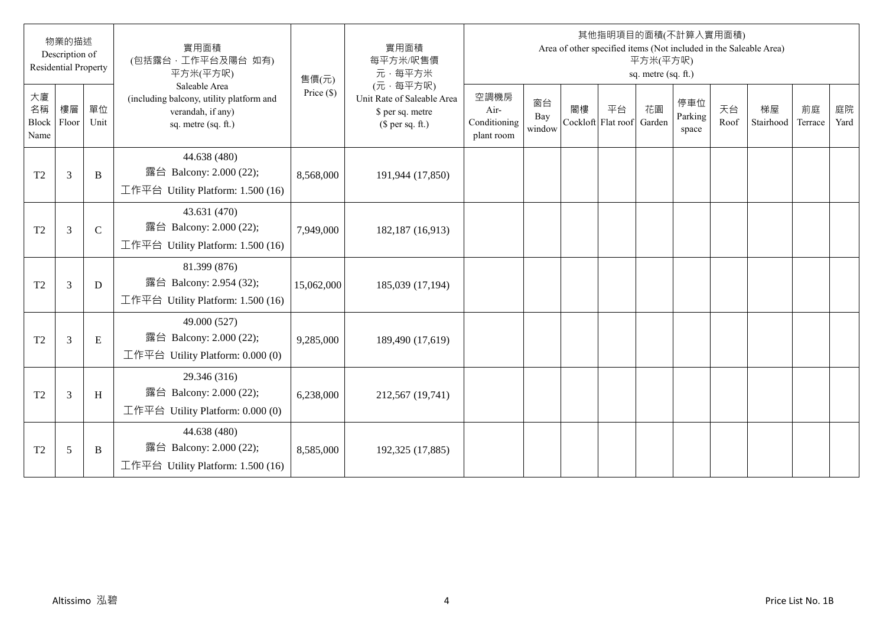|                                  | 物業的描述<br>Description of<br><b>Residential Property</b> |             | 實用面積<br>(包括露台·工作平台及陽台 如有)<br>平方米(平方呎)                                                                 | 售價(元)        | 實用面積<br>每平方米/呎售價<br>元·每平方米                                                     |                                            |                     |                          |    | 平方米(平方呎)<br>sq. metre (sq. ft.) | 其他指明項目的面積(不計算入實用面積)     |            | Area of other specified items (Not included in the Saleable Area) |               |            |
|----------------------------------|--------------------------------------------------------|-------------|-------------------------------------------------------------------------------------------------------|--------------|--------------------------------------------------------------------------------|--------------------------------------------|---------------------|--------------------------|----|---------------------------------|-------------------------|------------|-------------------------------------------------------------------|---------------|------------|
| 大廈<br>名稱<br><b>Block</b><br>Name | 樓層<br>Floor                                            | 單位<br>Unit  | Saleable Area<br>(including balcony, utility platform and<br>verandah, if any)<br>sq. metre (sq. ft.) | Price $(\$)$ | (元·每平方呎)<br>Unit Rate of Saleable Area<br>\$ per sq. metre<br>(\$ per sq. ft.) | 空調機房<br>Air-<br>Conditioning<br>plant room | 窗台<br>Bay<br>window | 閣樓<br>Cockloft Flat roof | 平台 | 花園<br>Garden                    | 停車位<br>Parking<br>space | 天台<br>Roof | 梯屋<br>Stairhood                                                   | 前庭<br>Terrace | 庭院<br>Yard |
| T <sub>2</sub>                   | $\mathfrak{Z}$                                         | B           | 44.638 (480)<br>露台 Balcony: 2.000 (22);<br>工作平台 Utility Platform: 1.500 (16)                          | 8,568,000    | 191,944 (17,850)                                                               |                                            |                     |                          |    |                                 |                         |            |                                                                   |               |            |
| T <sub>2</sub>                   | $\mathfrak{Z}$                                         | $\mathbf C$ | 43.631 (470)<br>露台 Balcony: 2.000 (22);<br>工作平台 Utility Platform: 1.500 (16)                          | 7,949,000    | 182,187 (16,913)                                                               |                                            |                     |                          |    |                                 |                         |            |                                                                   |               |            |
| T <sub>2</sub>                   | $\overline{3}$                                         | D           | 81.399 (876)<br>露台 Balcony: 2.954 (32);<br>工作平台 Utility Platform: 1.500 (16)                          | 15,062,000   | 185,039 (17,194)                                                               |                                            |                     |                          |    |                                 |                         |            |                                                                   |               |            |
| T <sub>2</sub>                   | 3                                                      | E           | 49.000 (527)<br>露台 Balcony: 2.000 (22);<br>工作平台 Utility Platform: $0.000(0)$                          | 9,285,000    | 189,490 (17,619)                                                               |                                            |                     |                          |    |                                 |                         |            |                                                                   |               |            |
| T <sub>2</sub>                   | $\overline{3}$                                         | H           | 29.346 (316)<br>露台 Balcony: 2.000 (22);<br>工作平台 Utility Platform: 0.000 (0)                           | 6,238,000    | 212,567 (19,741)                                                               |                                            |                     |                          |    |                                 |                         |            |                                                                   |               |            |
| T <sub>2</sub>                   | 5                                                      | B           | 44.638 (480)<br>露台 Balcony: 2.000 (22);<br>工作平台 Utility Platform: 1.500 (16)                          | 8,585,000    | 192,325 (17,885)                                                               |                                            |                     |                          |    |                                 |                         |            |                                                                   |               |            |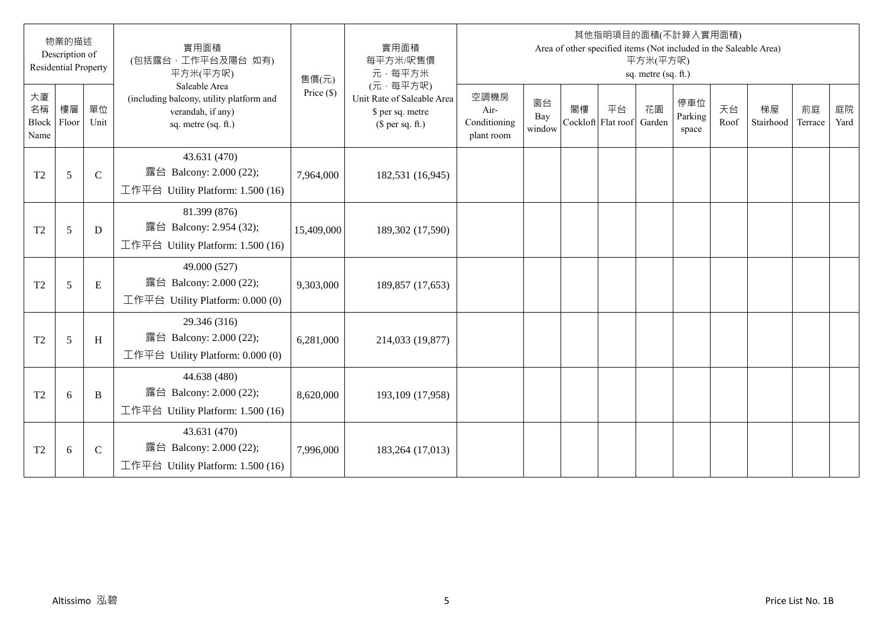|                                  | 物業的描述<br>Description of<br><b>Residential Property</b> |             | 實用面積<br>(包括露台,工作平台及陽台 如有)<br>平方米(平方呎)                                                                 | 售價(元)        | 實用面積<br>每平方米/呎售價<br>元·每平方米                                                     |                                            |                     |    |                                 | 平方米(平方呎)<br>sq. metre (sq. ft.) | 其他指明項目的面積(不計算入實用面積)<br>Area of other specified items (Not included in the Saleable Area) |            |                 |               |            |
|----------------------------------|--------------------------------------------------------|-------------|-------------------------------------------------------------------------------------------------------|--------------|--------------------------------------------------------------------------------|--------------------------------------------|---------------------|----|---------------------------------|---------------------------------|------------------------------------------------------------------------------------------|------------|-----------------|---------------|------------|
| 大廈<br>名稱<br><b>Block</b><br>Name | 樓層<br>Floor                                            | 單位<br>Unit  | Saleable Area<br>(including balcony, utility platform and<br>verandah, if any)<br>sq. metre (sq. ft.) | Price $(\$)$ | (元·每平方呎)<br>Unit Rate of Saleable Area<br>\$ per sq. metre<br>(\$ per sq. ft.) | 空調機房<br>Air-<br>Conditioning<br>plant room | 窗台<br>Bay<br>window | 閣樓 | 平台<br>Cockloft Flat roof Garden | 花園                              | 停車位<br>Parking<br>space                                                                  | 天台<br>Roof | 梯屋<br>Stairhood | 前庭<br>Terrace | 庭院<br>Yard |
| T <sub>2</sub>                   | 5                                                      | $\mathbf C$ | 43.631 (470)<br>露台 Balcony: 2.000 (22);<br>工作平台 Utility Platform: 1.500 (16)                          | 7,964,000    | 182,531 (16,945)                                                               |                                            |                     |    |                                 |                                 |                                                                                          |            |                 |               |            |
| T <sub>2</sub>                   | 5                                                      | D           | 81.399 (876)<br>露台 Balcony: 2.954 (32);<br>工作平台 Utility Platform: 1.500 (16)                          | 15,409,000   | 189,302 (17,590)                                                               |                                            |                     |    |                                 |                                 |                                                                                          |            |                 |               |            |
| T <sub>2</sub>                   | 5                                                      | E           | 49.000 (527)<br>露台 Balcony: 2.000 (22);<br>工作平台 Utility Platform: $0.000(0)$                          | 9,303,000    | 189,857 (17,653)                                                               |                                            |                     |    |                                 |                                 |                                                                                          |            |                 |               |            |
| T2                               | 5                                                      | H           | 29.346 (316)<br>露台 Balcony: 2.000 (22);<br>工作平台 Utility Platform: $0.000(0)$                          | 6,281,000    | 214,033 (19,877)                                                               |                                            |                     |    |                                 |                                 |                                                                                          |            |                 |               |            |
| T <sub>2</sub>                   | 6                                                      | B           | 44.638 (480)<br>露台 Balcony: 2.000 (22);<br>工作平台 Utility Platform: 1.500 (16)                          | 8,620,000    | 193,109 (17,958)                                                               |                                            |                     |    |                                 |                                 |                                                                                          |            |                 |               |            |
| T <sub>2</sub>                   | 6                                                      | $\mathbf C$ | 43.631 (470)<br>露台 Balcony: 2.000 (22);<br>工作平台 Utility Platform: 1.500 (16)                          | 7,996,000    | 183,264 (17,013)                                                               |                                            |                     |    |                                 |                                 |                                                                                          |            |                 |               |            |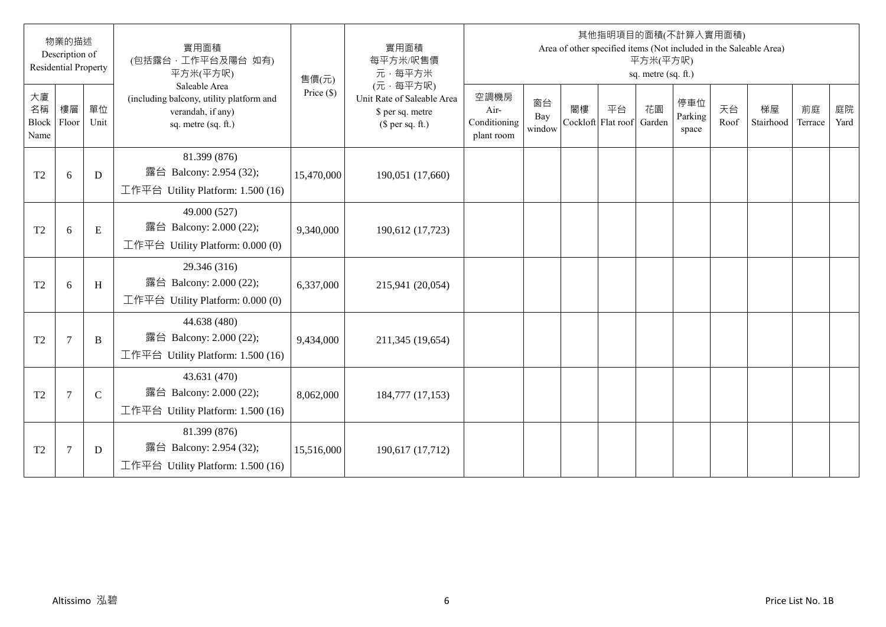|                           | 物業的描述<br>Description of<br><b>Residential Property</b> |             | 實用面積<br>(包括露台·工作平台及陽台 如有)<br>平方米(平方呎)                                                                 | 售價(元)        | 實用面積<br>每平方米/呎售價<br>元·每平方米                                                     |                                            |                     |                          |    | 平方米(平方呎)<br>sq. metre (sq. ft.) | 其他指明項目的面積(不計算入實用面積)     |            | Area of other specified items (Not included in the Saleable Area) |               |            |
|---------------------------|--------------------------------------------------------|-------------|-------------------------------------------------------------------------------------------------------|--------------|--------------------------------------------------------------------------------|--------------------------------------------|---------------------|--------------------------|----|---------------------------------|-------------------------|------------|-------------------------------------------------------------------|---------------|------------|
| 大廈<br>名稱<br>Block<br>Name | 樓層<br>Floor                                            | 單位<br>Unit  | Saleable Area<br>(including balcony, utility platform and<br>verandah, if any)<br>sq. metre (sq. ft.) | Price $(\$)$ | (元·每平方呎)<br>Unit Rate of Saleable Area<br>\$ per sq. metre<br>$$$ per sq. ft.) | 空調機房<br>Air-<br>Conditioning<br>plant room | 窗台<br>Bay<br>window | 閣樓<br>Cockloft Flat roof | 平台 | 花園<br>Garden                    | 停車位<br>Parking<br>space | 天台<br>Roof | 梯屋<br>Stairhood                                                   | 前庭<br>Terrace | 庭院<br>Yard |
| T <sub>2</sub>            | 6                                                      | D           | 81.399 (876)<br>露台 Balcony: 2.954 (32);<br>工作平台 Utility Platform: $1.500(16)$                         | 15,470,000   | 190,051 (17,660)                                                               |                                            |                     |                          |    |                                 |                         |            |                                                                   |               |            |
| T <sub>2</sub>            | 6                                                      | ${\bf E}$   | 49.000 (527)<br>露台 Balcony: 2.000 (22);<br>工作平台 Utility Platform: 0.000 (0)                           | 9,340,000    | 190,612 (17,723)                                                               |                                            |                     |                          |    |                                 |                         |            |                                                                   |               |            |
| T <sub>2</sub>            | 6                                                      | H           | 29.346 (316)<br>露台 Balcony: 2.000 (22);<br>工作平台 Utility Platform: $0.000(0)$                          | 6,337,000    | 215,941 (20,054)                                                               |                                            |                     |                          |    |                                 |                         |            |                                                                   |               |            |
| T <sub>2</sub>            | $\overline{7}$                                         | B           | 44.638 (480)<br>露台 Balcony: 2.000 (22);<br>工作平台 Utility Platform: 1.500 (16)                          | 9,434,000    | 211,345 (19,654)                                                               |                                            |                     |                          |    |                                 |                         |            |                                                                   |               |            |
| T <sub>2</sub>            | $\overline{7}$                                         | $\mathbf C$ | 43.631 (470)<br>露台 Balcony: 2.000 (22);<br>工作平台 Utility Platform: 1.500 (16)                          | 8,062,000    | 184,777 (17,153)                                                               |                                            |                     |                          |    |                                 |                         |            |                                                                   |               |            |
| T <sub>2</sub>            | 7                                                      | D           | 81.399 (876)<br>露台 Balcony: 2.954 (32);<br>工作平台 Utility Platform: $1.500(16)$                         | 15,516,000   | 190,617 (17,712)                                                               |                                            |                     |                          |    |                                 |                         |            |                                                                   |               |            |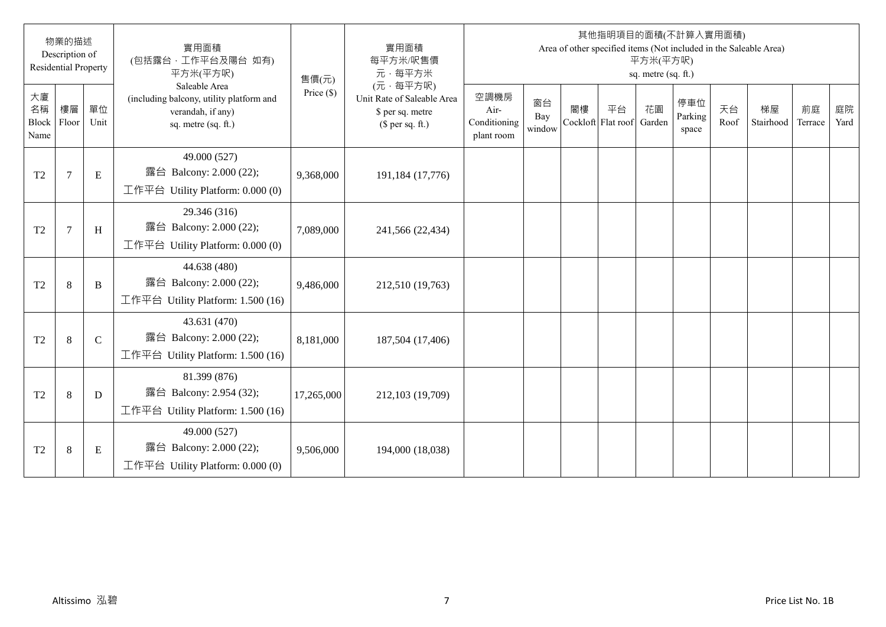|                           | 物業的描述<br>Description of<br><b>Residential Property</b> |              | 實用面積<br>(包括露台·工作平台及陽台 如有)<br>平方米(平方呎)                                                                 | 售價(元)        | 實用面積<br>每平方米/呎售價<br>元·每平方米                                                     |                                            |                     |                          |    | 平方米(平方呎)<br>sq. metre (sq. ft.) | 其他指明項目的面積(不計算入實用面積)     |            | Area of other specified items (Not included in the Saleable Area) |               |            |
|---------------------------|--------------------------------------------------------|--------------|-------------------------------------------------------------------------------------------------------|--------------|--------------------------------------------------------------------------------|--------------------------------------------|---------------------|--------------------------|----|---------------------------------|-------------------------|------------|-------------------------------------------------------------------|---------------|------------|
| 大廈<br>名稱<br>Block<br>Name | 樓層<br>Floor                                            | 單位<br>Unit   | Saleable Area<br>(including balcony, utility platform and<br>verandah, if any)<br>sq. metre (sq. ft.) | Price $(\$)$ | (元·每平方呎)<br>Unit Rate of Saleable Area<br>\$ per sq. metre<br>$$$ per sq. ft.) | 空調機房<br>Air-<br>Conditioning<br>plant room | 窗台<br>Bay<br>window | 閣樓<br>Cockloft Flat roof | 平台 | 花園<br>Garden                    | 停車位<br>Parking<br>space | 天台<br>Roof | 梯屋<br>Stairhood                                                   | 前庭<br>Terrace | 庭院<br>Yard |
| T <sub>2</sub>            | $\overline{7}$                                         | ${\bf E}$    | 49.000 (527)<br>露台 Balcony: 2.000 (22);<br>工作平台 Utility Platform: $0.000(0)$                          | 9,368,000    | 191,184 (17,776)                                                               |                                            |                     |                          |    |                                 |                         |            |                                                                   |               |            |
| T <sub>2</sub>            | $\overline{7}$                                         | H            | 29.346 (316)<br>露台 Balcony: 2.000 (22);<br>工作平台 Utility Platform: 0.000 (0)                           | 7,089,000    | 241,566 (22,434)                                                               |                                            |                     |                          |    |                                 |                         |            |                                                                   |               |            |
| T <sub>2</sub>            | 8                                                      | $\, {\bf B}$ | 44.638 (480)<br>露台 Balcony: 2.000 (22);<br>工作平台 Utility Platform: 1.500 (16)                          | 9,486,000    | 212,510 (19,763)                                                               |                                            |                     |                          |    |                                 |                         |            |                                                                   |               |            |
| T <sub>2</sub>            | 8                                                      | $\mathsf{C}$ | 43.631 (470)<br>露台 Balcony: 2.000 (22);<br>工作平台 Utility Platform: 1.500 (16)                          | 8,181,000    | 187,504 (17,406)                                                               |                                            |                     |                          |    |                                 |                         |            |                                                                   |               |            |
| T <sub>2</sub>            | 8                                                      | D            | 81.399 (876)<br>露台 Balcony: 2.954 (32);<br>工作平台 Utility Platform: 1.500 (16)                          | 17,265,000   | 212,103 (19,709)                                                               |                                            |                     |                          |    |                                 |                         |            |                                                                   |               |            |
| T <sub>2</sub>            | $\,8\,$                                                | Ε            | 49.000 (527)<br>露台 Balcony: 2.000 (22);<br>工作平台 Utility Platform: $0.000(0)$                          | 9,506,000    | 194,000 (18,038)                                                               |                                            |                     |                          |    |                                 |                         |            |                                                                   |               |            |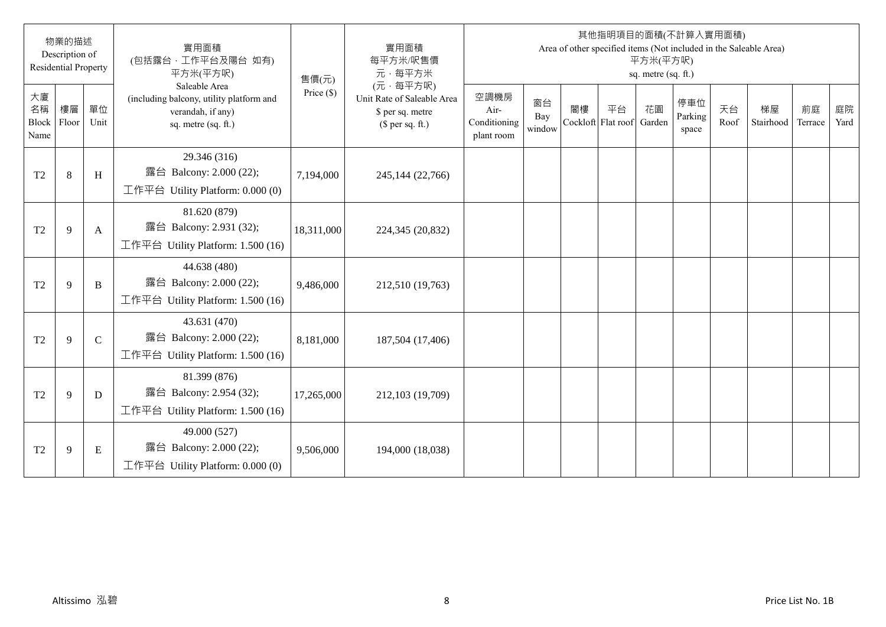|                           | 物業的描述<br>Description of<br><b>Residential Property</b> |              | 實用面積<br>(包括露台·工作平台及陽台 如有)<br>平方米(平方呎)                                                                 | 售價(元)        | 實用面積<br>每平方米/呎售價<br>元·每平方米                                                     |                                            |                     |    |                                 | 平方米(平方呎)<br>sq. metre (sq. ft.) | 其他指明項目的面積(不計算入實用面積)     |            | Area of other specified items (Not included in the Saleable Area) |               |            |
|---------------------------|--------------------------------------------------------|--------------|-------------------------------------------------------------------------------------------------------|--------------|--------------------------------------------------------------------------------|--------------------------------------------|---------------------|----|---------------------------------|---------------------------------|-------------------------|------------|-------------------------------------------------------------------|---------------|------------|
| 大廈<br>名稱<br>Block<br>Name | 樓層<br>Floor                                            | 單位<br>Unit   | Saleable Area<br>(including balcony, utility platform and<br>verandah, if any)<br>sq. metre (sq. ft.) | Price $(\$)$ | (元·每平方呎)<br>Unit Rate of Saleable Area<br>\$ per sq. metre<br>(\$ per sq. ft.) | 空調機房<br>Air-<br>Conditioning<br>plant room | 窗台<br>Bay<br>window | 閣樓 | 平台<br>Cockloft Flat roof Garden | 花園                              | 停車位<br>Parking<br>space | 天台<br>Roof | 梯屋<br>Stairhood                                                   | 前庭<br>Terrace | 庭院<br>Yard |
| T <sub>2</sub>            | $\,8\,$                                                | $\,$ H       | 29.346 (316)<br>露台 Balcony: 2.000 (22);<br>工作平台 Utility Platform: $0.000(0)$                          | 7,194,000    | 245,144 (22,766)                                                               |                                            |                     |    |                                 |                                 |                         |            |                                                                   |               |            |
| T <sub>2</sub>            | 9                                                      | A            | 81.620 (879)<br>露台 Balcony: 2.931 (32);<br>工作平台 Utility Platform: 1.500 (16)                          | 18,311,000   | 224,345 (20,832)                                                               |                                            |                     |    |                                 |                                 |                         |            |                                                                   |               |            |
| T <sub>2</sub>            | 9                                                      | $\, {\bf B}$ | 44.638 (480)<br>露台 Balcony: 2.000 (22);<br>工作平台 Utility Platform: 1.500 (16)                          | 9,486,000    | 212,510 (19,763)                                                               |                                            |                     |    |                                 |                                 |                         |            |                                                                   |               |            |
| T <sub>2</sub>            | 9                                                      | $\mathbf C$  | 43.631 (470)<br>露台 Balcony: 2.000 (22);<br>工作平台 Utility Platform: 1.500 (16)                          | 8,181,000    | 187,504 (17,406)                                                               |                                            |                     |    |                                 |                                 |                         |            |                                                                   |               |            |
| T <sub>2</sub>            | 9                                                      | D            | 81.399 (876)<br>露台 Balcony: 2.954 (32);<br>工作平台 Utility Platform: 1.500 (16)                          | 17,265,000   | 212,103 (19,709)                                                               |                                            |                     |    |                                 |                                 |                         |            |                                                                   |               |            |
| T <sub>2</sub>            | 9                                                      | Ε            | 49.000 (527)<br>露台 Balcony: 2.000 (22);<br>工作平台 Utility Platform: $0.000(0)$                          | 9,506,000    | 194,000 (18,038)                                                               |                                            |                     |    |                                 |                                 |                         |            |                                                                   |               |            |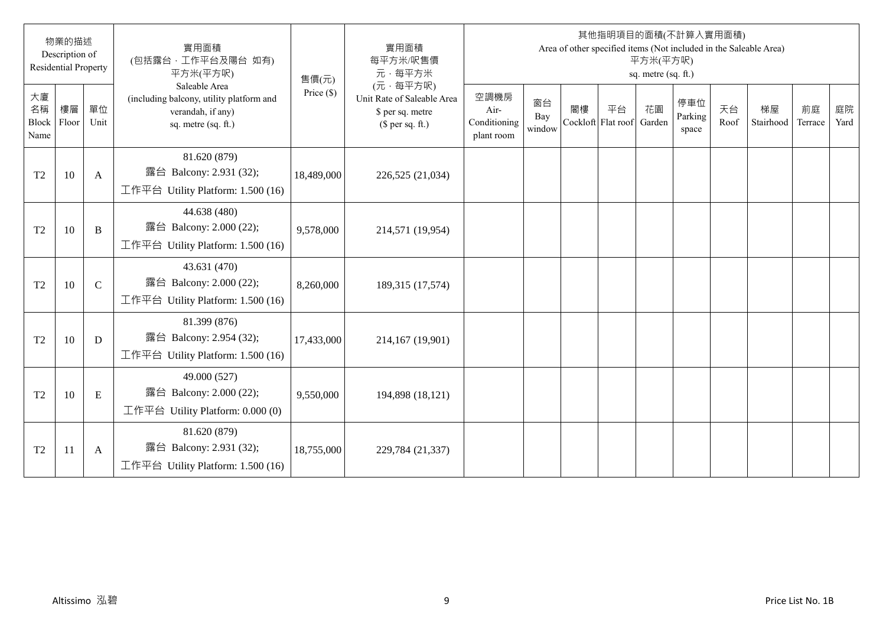|                                  | 物業的描述<br>Description of<br><b>Residential Property</b> |             | 實用面積<br>(包括露台·工作平台及陽台 如有)<br>平方米(平方呎)                                                                 | 售價(元)        | 實用面積<br>每平方米/呎售價<br>元·每平方米                                                     |                                            |                     |                          |    | 平方米(平方呎)<br>sq. metre (sq. ft.) | 其他指明項目的面積(不計算入實用面積)     |            | Area of other specified items (Not included in the Saleable Area) |               |            |
|----------------------------------|--------------------------------------------------------|-------------|-------------------------------------------------------------------------------------------------------|--------------|--------------------------------------------------------------------------------|--------------------------------------------|---------------------|--------------------------|----|---------------------------------|-------------------------|------------|-------------------------------------------------------------------|---------------|------------|
| 大廈<br>名稱<br><b>Block</b><br>Name | 樓層<br>Floor                                            | 單位<br>Unit  | Saleable Area<br>(including balcony, utility platform and<br>verandah, if any)<br>sq. metre (sq. ft.) | Price $(\$)$ | (元·每平方呎)<br>Unit Rate of Saleable Area<br>\$ per sq. metre<br>(\$ per sq. ft.) | 空調機房<br>Air-<br>Conditioning<br>plant room | 窗台<br>Bay<br>window | 閣樓<br>Cockloft Flat roof | 平台 | 花園<br>Garden                    | 停車位<br>Parking<br>space | 天台<br>Roof | 梯屋<br>Stairhood                                                   | 前庭<br>Terrace | 庭院<br>Yard |
| T <sub>2</sub>                   | 10                                                     | A           | 81.620 (879)<br>露台 Balcony: 2.931 (32);<br>工作平台 Utility Platform: 1.500 (16)                          | 18,489,000   | 226,525 (21,034)                                                               |                                            |                     |                          |    |                                 |                         |            |                                                                   |               |            |
| T <sub>2</sub>                   | 10                                                     | B           | 44.638 (480)<br>露台 Balcony: 2.000 (22);<br>工作平台 Utility Platform: 1.500 (16)                          | 9,578,000    | 214,571 (19,954)                                                               |                                            |                     |                          |    |                                 |                         |            |                                                                   |               |            |
| T <sub>2</sub>                   | 10                                                     | $\mathbf C$ | 43.631 (470)<br>露台 Balcony: 2.000 (22);<br>工作平台 Utility Platform: 1.500 (16)                          | 8,260,000    | 189,315 (17,574)                                                               |                                            |                     |                          |    |                                 |                         |            |                                                                   |               |            |
| T <sub>2</sub>                   | 10                                                     | D           | 81.399 (876)<br>露台 Balcony: 2.954 (32);<br>工作平台 Utility Platform: 1.500 (16)                          | 17,433,000   | 214,167 (19,901)                                                               |                                            |                     |                          |    |                                 |                         |            |                                                                   |               |            |
| T <sub>2</sub>                   | 10                                                     | E           | 49.000 (527)<br>露台 Balcony: 2.000 (22);<br>工作平台 Utility Platform: 0.000 (0)                           | 9,550,000    | 194,898 (18,121)                                                               |                                            |                     |                          |    |                                 |                         |            |                                                                   |               |            |
| T <sub>2</sub>                   | <sup>11</sup>                                          | A           | 81.620 (879)<br>露台 Balcony: 2.931 (32);<br>工作平台 Utility Platform: 1.500 (16)                          | 18,755,000   | 229,784 (21,337)                                                               |                                            |                     |                          |    |                                 |                         |            |                                                                   |               |            |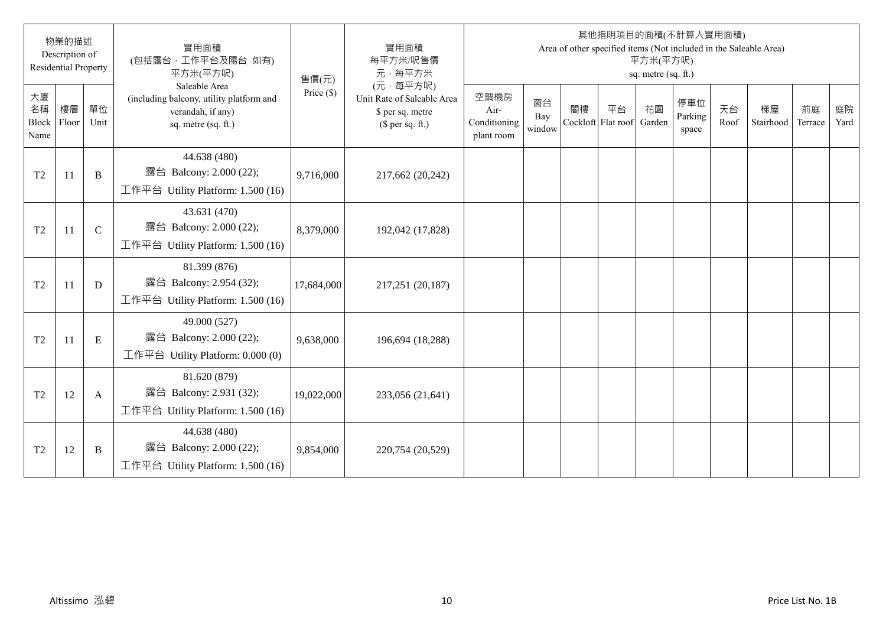|                                  | 物業的描述<br>Description of<br><b>Residential Property</b> |              | 實用面積<br>(包括露台·工作平台及陽台 如有)<br>平方米(平方呎)                                                                 | 售價(元)        | 實用面積<br>每平方米/呎售價<br>元·每平方米                                                     |                                            |                     |                          |    | 平方米(平方呎)<br>sq. metre (sq. ft.) | 其他指明項目的面積(不計算入實用面積)     |            | Area of other specified items (Not included in the Saleable Area) |               |            |
|----------------------------------|--------------------------------------------------------|--------------|-------------------------------------------------------------------------------------------------------|--------------|--------------------------------------------------------------------------------|--------------------------------------------|---------------------|--------------------------|----|---------------------------------|-------------------------|------------|-------------------------------------------------------------------|---------------|------------|
| 大廈<br>名稱<br><b>Block</b><br>Name | 樓層<br>Floor                                            | 單位<br>Unit   | Saleable Area<br>(including balcony, utility platform and<br>verandah, if any)<br>sq. metre (sq. ft.) | Price $(\$)$ | (元·每平方呎)<br>Unit Rate of Saleable Area<br>\$ per sq. metre<br>(\$ per sq. ft.) | 空調機房<br>Air-<br>Conditioning<br>plant room | 窗台<br>Bay<br>window | 閣樓<br>Cockloft Flat roof | 平台 | 花園<br>Garden                    | 停車位<br>Parking<br>space | 天台<br>Roof | 梯屋<br>Stairhood                                                   | 前庭<br>Terrace | 庭院<br>Yard |
| T <sub>2</sub>                   | 11                                                     | B            | 44.638 (480)<br>露台 Balcony: 2.000 (22);<br>工作平台 Utility Platform: 1.500 (16)                          | 9,716,000    | 217,662 (20,242)                                                               |                                            |                     |                          |    |                                 |                         |            |                                                                   |               |            |
| T <sub>2</sub>                   | 11                                                     | $\mathbf C$  | 43.631 (470)<br>露台 Balcony: 2.000 (22);<br>工作平台 Utility Platform: 1.500 (16)                          | 8,379,000    | 192,042 (17,828)                                                               |                                            |                     |                          |    |                                 |                         |            |                                                                   |               |            |
| T <sub>2</sub>                   | 11                                                     | D            | 81.399 (876)<br>露台 Balcony: 2.954 (32);<br>工作平台 Utility Platform: 1.500 (16)                          | 17,684,000   | 217,251 (20,187)                                                               |                                            |                     |                          |    |                                 |                         |            |                                                                   |               |            |
| T <sub>2</sub>                   | 11                                                     | E            | 49.000 (527)<br>露台 Balcony: 2.000 (22);<br>工作平台 Utility Platform: $0.000(0)$                          | 9,638,000    | 196,694 (18,288)                                                               |                                            |                     |                          |    |                                 |                         |            |                                                                   |               |            |
| T <sub>2</sub>                   | 12                                                     | $\mathbf{A}$ | 81.620 (879)<br>露台 Balcony: 2.931 (32);<br>工作平台 Utility Platform: 1.500 (16)                          | 19,022,000   | 233,056 (21,641)                                                               |                                            |                     |                          |    |                                 |                         |            |                                                                   |               |            |
| T <sub>2</sub>                   | 12                                                     | B            | 44.638 (480)<br>露台 Balcony: 2.000 (22);<br>工作平台 Utility Platform: 1.500 (16)                          | 9,854,000    | 220,754 (20,529)                                                               |                                            |                     |                          |    |                                 |                         |            |                                                                   |               |            |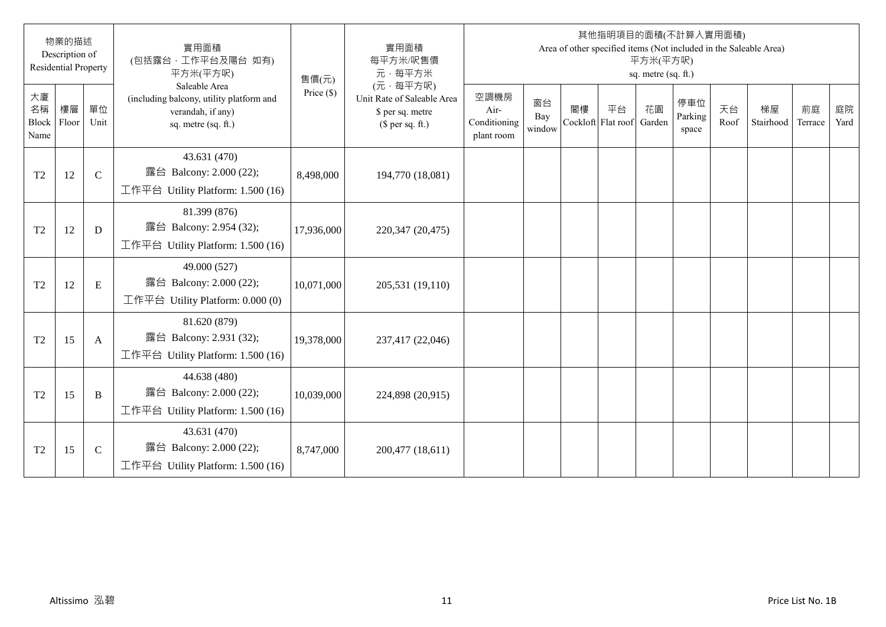|                                  | 物業的描述<br>Description of<br><b>Residential Property</b> |               | 實用面積<br>(包括露台·工作平台及陽台 如有)<br>平方米(平方呎)                                                                 | 售價(元)        | 實用面積<br>每平方米/呎售價<br>元·每平方米                                                     |                                            |                     |    |                          | 平方米(平方呎)<br>sq. metre (sq. ft.) | 其他指明項目的面積(不計算入實用面積)     |            | Area of other specified items (Not included in the Saleable Area) |               |            |
|----------------------------------|--------------------------------------------------------|---------------|-------------------------------------------------------------------------------------------------------|--------------|--------------------------------------------------------------------------------|--------------------------------------------|---------------------|----|--------------------------|---------------------------------|-------------------------|------------|-------------------------------------------------------------------|---------------|------------|
| 大廈<br>名稱<br><b>Block</b><br>Name | 樓層<br>Floor                                            | 單位<br>Unit    | Saleable Area<br>(including balcony, utility platform and<br>verandah, if any)<br>sq. metre (sq. ft.) | Price $(\$)$ | (元·每平方呎)<br>Unit Rate of Saleable Area<br>\$ per sq. metre<br>(\$ per sq. ft.) | 空調機房<br>Air-<br>Conditioning<br>plant room | 窗台<br>Bay<br>window | 閣樓 | 平台<br>Cockloft Flat roof | 花園<br>Garden                    | 停車位<br>Parking<br>space | 天台<br>Roof | 梯屋<br>Stairhood                                                   | 前庭<br>Terrace | 庭院<br>Yard |
| T <sub>2</sub>                   | 12                                                     | $\mathcal{C}$ | 43.631 (470)<br>露台 Balcony: 2.000 (22);<br>工作平台 Utility Platform: $1.500(16)$                         | 8,498,000    | 194,770 (18,081)                                                               |                                            |                     |    |                          |                                 |                         |            |                                                                   |               |            |
| T <sub>2</sub>                   | 12                                                     | D             | 81.399 (876)<br>露台 Balcony: 2.954 (32);<br>工作平台 Utility Platform: 1.500 (16)                          | 17,936,000   | 220,347 (20,475)                                                               |                                            |                     |    |                          |                                 |                         |            |                                                                   |               |            |
| T <sub>2</sub>                   | 12                                                     | E             | 49.000 (527)<br>露台 Balcony: 2.000 (22);<br>工作平台 Utility Platform: $0.000(0)$                          | 10,071,000   | 205,531 (19,110)                                                               |                                            |                     |    |                          |                                 |                         |            |                                                                   |               |            |
| T <sub>2</sub>                   | 15                                                     | A             | 81.620 (879)<br>露台 Balcony: 2.931 (32);<br>工作平台 Utility Platform: $1.500(16)$                         | 19,378,000   | 237,417 (22,046)                                                               |                                            |                     |    |                          |                                 |                         |            |                                                                   |               |            |
| T <sub>2</sub>                   | 15                                                     | B             | 44.638 (480)<br>露台 Balcony: 2.000 (22);<br>工作平台 Utility Platform: 1.500 (16)                          | 10,039,000   | 224,898 (20,915)                                                               |                                            |                     |    |                          |                                 |                         |            |                                                                   |               |            |
| T <sub>2</sub>                   | 15                                                     | $\mathbf C$   | 43.631 (470)<br>露台 Balcony: 2.000 (22);<br>工作平台 Utility Platform: 1.500 (16)                          | 8,747,000    | 200,477 (18,611)                                                               |                                            |                     |    |                          |                                 |                         |            |                                                                   |               |            |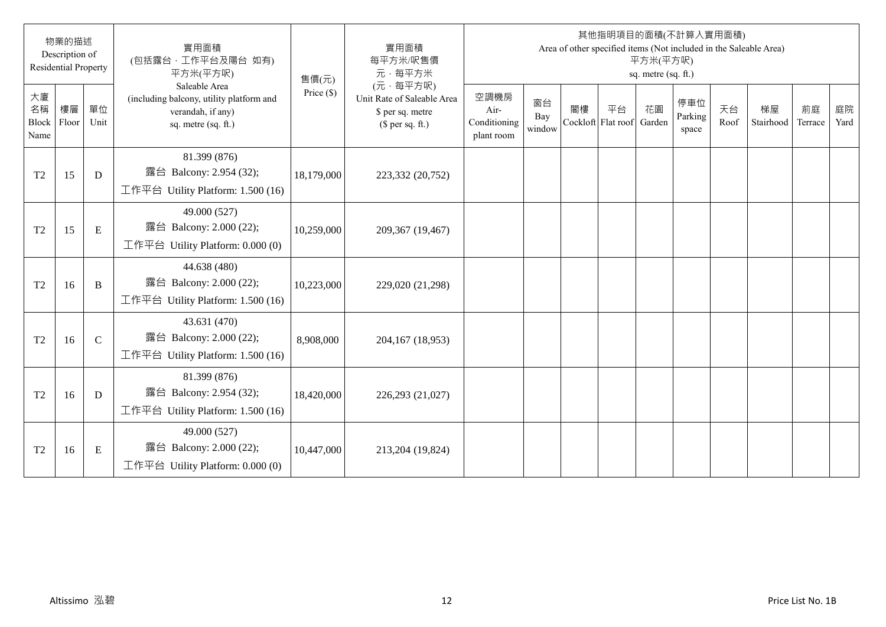|                                  | 物業的描述<br>Description of<br><b>Residential Property</b> |              | 實用面積<br>(包括露台·工作平台及陽台 如有)<br>平方米(平方呎)                                                                 | 售價(元)        | 實用面積<br>每平方米/呎售價<br>元·每平方米                                                     |                                            |                     |                          |    | 平方米(平方呎)<br>sq. metre (sq. ft.) | 其他指明項目的面積(不計算入實用面積)     |            | Area of other specified items (Not included in the Saleable Area) |               |            |
|----------------------------------|--------------------------------------------------------|--------------|-------------------------------------------------------------------------------------------------------|--------------|--------------------------------------------------------------------------------|--------------------------------------------|---------------------|--------------------------|----|---------------------------------|-------------------------|------------|-------------------------------------------------------------------|---------------|------------|
| 大廈<br>名稱<br><b>Block</b><br>Name | 樓層<br>Floor                                            | 單位<br>Unit   | Saleable Area<br>(including balcony, utility platform and<br>verandah, if any)<br>sq. metre (sq. ft.) | Price $(\$)$ | (元·每平方呎)<br>Unit Rate of Saleable Area<br>\$ per sq. metre<br>(\$ per sq. ft.) | 空調機房<br>Air-<br>Conditioning<br>plant room | 窗台<br>Bay<br>window | 閣樓<br>Cockloft Flat roof | 平台 | 花園<br>Garden                    | 停車位<br>Parking<br>space | 天台<br>Roof | 梯屋<br>Stairhood                                                   | 前庭<br>Terrace | 庭院<br>Yard |
| T <sub>2</sub>                   | 15                                                     | D            | 81.399 (876)<br>露台 Balcony: 2.954 (32);<br>工作平台 Utility Platform: 1.500 (16)                          | 18,179,000   | 223,332 (20,752)                                                               |                                            |                     |                          |    |                                 |                         |            |                                                                   |               |            |
| T <sub>2</sub>                   | 15                                                     | ${\bf E}$    | 49.000 (527)<br>露台 Balcony: 2.000 (22);<br>工作平台 Utility Platform: 0.000 (0)                           | 10,259,000   | 209,367 (19,467)                                                               |                                            |                     |                          |    |                                 |                         |            |                                                                   |               |            |
| T <sub>2</sub>                   | 16                                                     | $\, {\bf B}$ | 44.638 (480)<br>露台 Balcony: 2.000 (22);<br>工作平台 Utility Platform: 1.500 (16)                          | 10,223,000   | 229,020 (21,298)                                                               |                                            |                     |                          |    |                                 |                         |            |                                                                   |               |            |
| T <sub>2</sub>                   | 16                                                     | $\mathbf C$  | 43.631 (470)<br>露台 Balcony: 2.000 (22);<br>工作平台 Utility Platform: 1.500 (16)                          | 8,908,000    | 204,167 (18,953)                                                               |                                            |                     |                          |    |                                 |                         |            |                                                                   |               |            |
| T <sub>2</sub>                   | 16                                                     | D            | 81.399 (876)<br>露台 Balcony: 2.954 (32);<br>工作平台 Utility Platform: 1.500 (16)                          | 18,420,000   | 226,293 (21,027)                                                               |                                            |                     |                          |    |                                 |                         |            |                                                                   |               |            |
| T <sub>2</sub>                   | 16                                                     | Ε            | 49.000 (527)<br>露台 Balcony: 2.000 (22);<br>工作平台 Utility Platform: $0.000(0)$                          | 10,447,000   | 213,204 (19,824)                                                               |                                            |                     |                          |    |                                 |                         |            |                                                                   |               |            |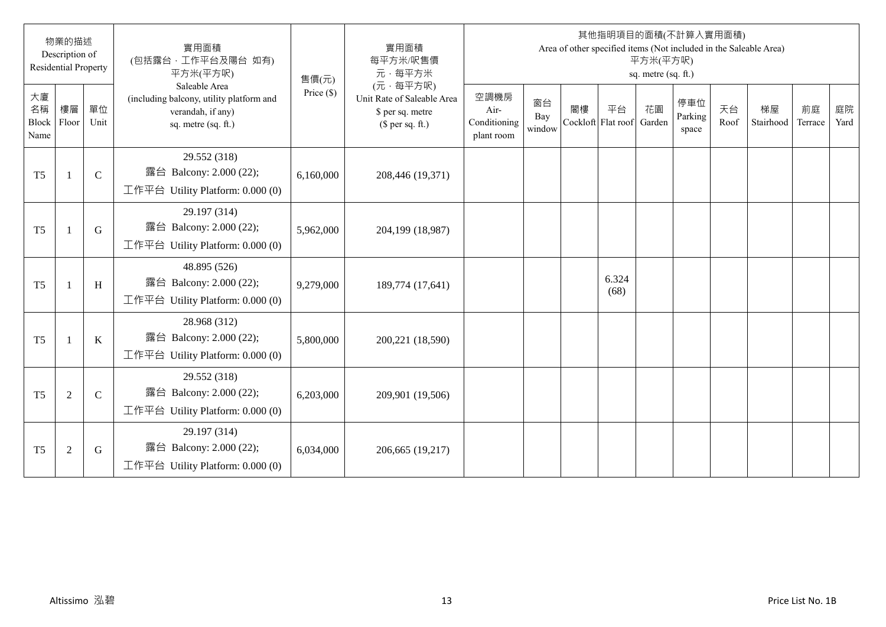|                                  | 物業的描述<br>Description of<br><b>Residential Property</b> |              | 實用面積<br>(包括露台·工作平台及陽台 如有)<br>平方米(平方呎)                                                                 | 售價(元)        | 實用面積<br>每平方米/呎售價<br>元·每平方米                                                     |                                            |                     |                          |               | 平方米(平方呎)<br>sq. metre (sq. ft.) | 其他指明項目的面積(不計算入實用面積)     |            | Area of other specified items (Not included in the Saleable Area) |               |            |
|----------------------------------|--------------------------------------------------------|--------------|-------------------------------------------------------------------------------------------------------|--------------|--------------------------------------------------------------------------------|--------------------------------------------|---------------------|--------------------------|---------------|---------------------------------|-------------------------|------------|-------------------------------------------------------------------|---------------|------------|
| 大廈<br>名稱<br><b>Block</b><br>Name | 樓層<br>Floor                                            | 單位<br>Unit   | Saleable Area<br>(including balcony, utility platform and<br>verandah, if any)<br>sq. metre (sq. ft.) | Price $(\$)$ | (元·每平方呎)<br>Unit Rate of Saleable Area<br>\$ per sq. metre<br>(\$ per sq. ft.) | 空調機房<br>Air-<br>Conditioning<br>plant room | 窗台<br>Bay<br>window | 閣樓<br>Cockloft Flat roof | 平台            | 花園<br>Garden                    | 停車位<br>Parking<br>space | 天台<br>Roof | 梯屋<br>Stairhood                                                   | 前庭<br>Terrace | 庭院<br>Yard |
| T <sub>5</sub>                   |                                                        | $\mathsf{C}$ | 29.552 (318)<br>露台 Balcony: 2.000 (22);<br>工作平台 Utility Platform: $0.000(0)$                          | 6,160,000    | 208,446 (19,371)                                                               |                                            |                     |                          |               |                                 |                         |            |                                                                   |               |            |
| T <sub>5</sub>                   |                                                        | G            | 29.197 (314)<br>露台 Balcony: 2.000 (22);<br>工作平台 Utility Platform: 0.000 (0)                           | 5,962,000    | 204,199 (18,987)                                                               |                                            |                     |                          |               |                                 |                         |            |                                                                   |               |            |
| T <sub>5</sub>                   |                                                        | H            | 48.895 (526)<br>露台 Balcony: 2.000 (22);<br>工作平台 Utility Platform: 0.000 (0)                           | 9,279,000    | 189,774 (17,641)                                                               |                                            |                     |                          | 6.324<br>(68) |                                 |                         |            |                                                                   |               |            |
| T <sub>5</sub>                   |                                                        | $\bf K$      | 28.968 (312)<br>露台 Balcony: 2.000 (22);<br>工作平台 Utility Platform: 0.000 (0)                           | 5,800,000    | 200,221 (18,590)                                                               |                                            |                     |                          |               |                                 |                         |            |                                                                   |               |            |
| T <sub>5</sub>                   | $\overline{2}$                                         | $\mathsf{C}$ | 29.552 (318)<br>露台 Balcony: 2.000 (22);<br>工作平台 Utility Platform: 0.000 (0)                           | 6,203,000    | 209,901 (19,506)                                                               |                                            |                     |                          |               |                                 |                         |            |                                                                   |               |            |
| T <sub>5</sub>                   | $\overline{2}$                                         | G            | 29.197 (314)<br>露台 Balcony: 2.000 (22);<br>工作平台 Utility Platform: $0.000(0)$                          | 6,034,000    | 206,665 (19,217)                                                               |                                            |                     |                          |               |                                 |                         |            |                                                                   |               |            |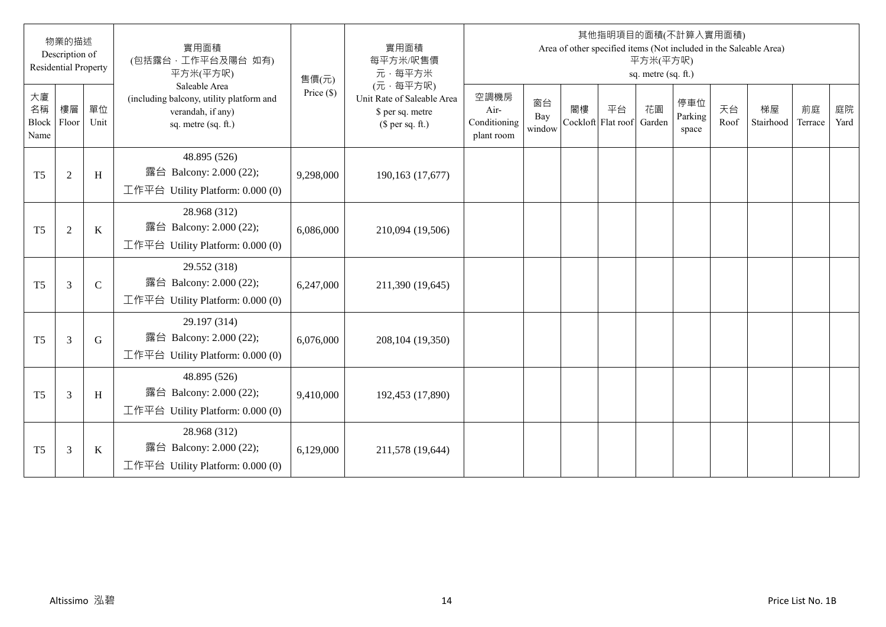|                           | 物業的描述<br>Description of<br><b>Residential Property</b> |               | 實用面積<br>(包括露台·工作平台及陽台 如有)<br>平方米(平方呎)                                                                 | 售價(元)        | 實用面積<br>每平方米/呎售價<br>元·每平方米                                                     |                                            |                     |    |                          | 平方米(平方呎)<br>sq. metre (sq. ft.) | 其他指明項目的面積(不計算入實用面積)     |            | Area of other specified items (Not included in the Saleable Area) |               |            |
|---------------------------|--------------------------------------------------------|---------------|-------------------------------------------------------------------------------------------------------|--------------|--------------------------------------------------------------------------------|--------------------------------------------|---------------------|----|--------------------------|---------------------------------|-------------------------|------------|-------------------------------------------------------------------|---------------|------------|
| 大廈<br>名稱<br>Block<br>Name | 樓層<br>Floor                                            | 單位<br>Unit    | Saleable Area<br>(including balcony, utility platform and<br>verandah, if any)<br>sq. metre (sq. ft.) | Price $(\$)$ | (元·每平方呎)<br>Unit Rate of Saleable Area<br>\$ per sq. metre<br>(\$ per sq. ft.) | 空調機房<br>Air-<br>Conditioning<br>plant room | 窗台<br>Bay<br>window | 閣樓 | 平台<br>Cockloft Flat roof | 花園<br>Garden                    | 停車位<br>Parking<br>space | 天台<br>Roof | 梯屋<br>Stairhood                                                   | 前庭<br>Terrace | 庭院<br>Yard |
| T <sub>5</sub>            | $\sqrt{2}$                                             | $\,$ H        | 48.895 (526)<br>露台 Balcony: 2.000 (22);<br>工作平台 Utility Platform: $0.000(0)$                          | 9,298,000    | 190,163 (17,677)                                                               |                                            |                     |    |                          |                                 |                         |            |                                                                   |               |            |
| T <sub>5</sub>            | 2                                                      | K             | 28.968 (312)<br>露台 Balcony: 2.000 (22);<br>工作平台 Utility Platform: $0.000(0)$                          | 6,086,000    | 210,094 (19,506)                                                               |                                            |                     |    |                          |                                 |                         |            |                                                                   |               |            |
| T <sub>5</sub>            | $\overline{3}$                                         | $\mathcal{C}$ | 29.552 (318)<br>露台 Balcony: 2.000 (22);<br>工作平台 Utility Platform: $0.000(0)$                          | 6,247,000    | 211,390 (19,645)                                                               |                                            |                     |    |                          |                                 |                         |            |                                                                   |               |            |
| T <sub>5</sub>            | $\overline{3}$                                         | G             | 29.197 (314)<br>露台 Balcony: 2.000 (22);<br>工作平台 Utility Platform: 0.000 (0)                           | 6,076,000    | 208, 104 (19, 350)                                                             |                                            |                     |    |                          |                                 |                         |            |                                                                   |               |            |
| T <sub>5</sub>            | $\overline{3}$                                         | H             | 48.895 (526)<br>露台 Balcony: 2.000 (22);<br>工作平台 Utility Platform: 0.000 (0)                           | 9,410,000    | 192,453 (17,890)                                                               |                                            |                     |    |                          |                                 |                         |            |                                                                   |               |            |
| T <sub>5</sub>            | 3                                                      | K             | 28.968 (312)<br>露台 Balcony: 2.000 (22);<br>工作平台 Utility Platform: $0.000(0)$                          | 6,129,000    | 211,578 (19,644)                                                               |                                            |                     |    |                          |                                 |                         |            |                                                                   |               |            |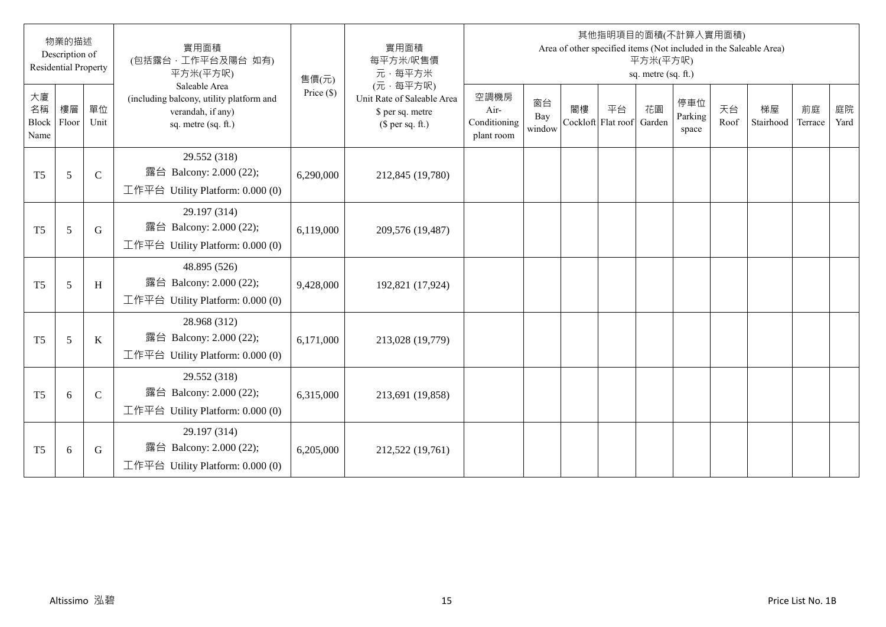|                                  | 物業的描述<br>Description of<br><b>Residential Property</b> |             | 實用面積<br>(包括露台·工作平台及陽台 如有)<br>平方米(平方呎)                                                                 | 售價(元)        | 實用面積<br>每平方米/呎售價<br>元·每平方米                                                     |                                            |                     |                          |    | 平方米(平方呎)<br>sq. metre (sq. ft.) | 其他指明項目的面積(不計算入實用面積)     |            | Area of other specified items (Not included in the Saleable Area) |               |            |
|----------------------------------|--------------------------------------------------------|-------------|-------------------------------------------------------------------------------------------------------|--------------|--------------------------------------------------------------------------------|--------------------------------------------|---------------------|--------------------------|----|---------------------------------|-------------------------|------------|-------------------------------------------------------------------|---------------|------------|
| 大廈<br>名稱<br><b>Block</b><br>Name | 樓層<br>Floor                                            | 單位<br>Unit  | Saleable Area<br>(including balcony, utility platform and<br>verandah, if any)<br>sq. metre (sq. ft.) | Price $(\$)$ | (元·每平方呎)<br>Unit Rate of Saleable Area<br>\$ per sq. metre<br>$$$ per sq. ft.) | 空調機房<br>Air-<br>Conditioning<br>plant room | 窗台<br>Bay<br>window | 閣樓<br>Cockloft Flat roof | 平台 | 花園<br>Garden                    | 停車位<br>Parking<br>space | 天台<br>Roof | 梯屋<br>Stairhood                                                   | 前庭<br>Terrace | 庭院<br>Yard |
| T <sub>5</sub>                   | 5                                                      | $\mathbf C$ | 29.552 (318)<br>露台 Balcony: 2.000 (22);<br>工作平台 Utility Platform: $0.000(0)$                          | 6,290,000    | 212,845 (19,780)                                                               |                                            |                     |                          |    |                                 |                         |            |                                                                   |               |            |
| T <sub>5</sub>                   | 5                                                      | G           | 29.197 (314)<br>露台 Balcony: 2.000 (22);<br>工作平台 Utility Platform: 0.000 (0)                           | 6,119,000    | 209,576 (19,487)                                                               |                                            |                     |                          |    |                                 |                         |            |                                                                   |               |            |
| T <sub>5</sub>                   | 5                                                      | H           | 48.895 (526)<br>露台 Balcony: 2.000 (22);<br>工作平台 Utility Platform: $0.000(0)$                          | 9,428,000    | 192,821 (17,924)                                                               |                                            |                     |                          |    |                                 |                         |            |                                                                   |               |            |
| T <sub>5</sub>                   | 5                                                      | K           | 28.968 (312)<br>露台 Balcony: 2.000 (22);<br>工作平台 Utility Platform: 0.000 (0)                           | 6,171,000    | 213,028 (19,779)                                                               |                                            |                     |                          |    |                                 |                         |            |                                                                   |               |            |
| T <sub>5</sub>                   | 6                                                      | $\mathbf C$ | 29.552 (318)<br>露台 Balcony: 2.000 (22);<br>工作平台 Utility Platform: 0.000 (0)                           | 6,315,000    | 213,691 (19,858)                                                               |                                            |                     |                          |    |                                 |                         |            |                                                                   |               |            |
| T <sub>5</sub>                   | 6                                                      | G           | 29.197 (314)<br>露台 Balcony: 2.000 (22);<br>工作平台 Utility Platform: $0.000(0)$                          | 6,205,000    | 212,522 (19,761)                                                               |                                            |                     |                          |    |                                 |                         |            |                                                                   |               |            |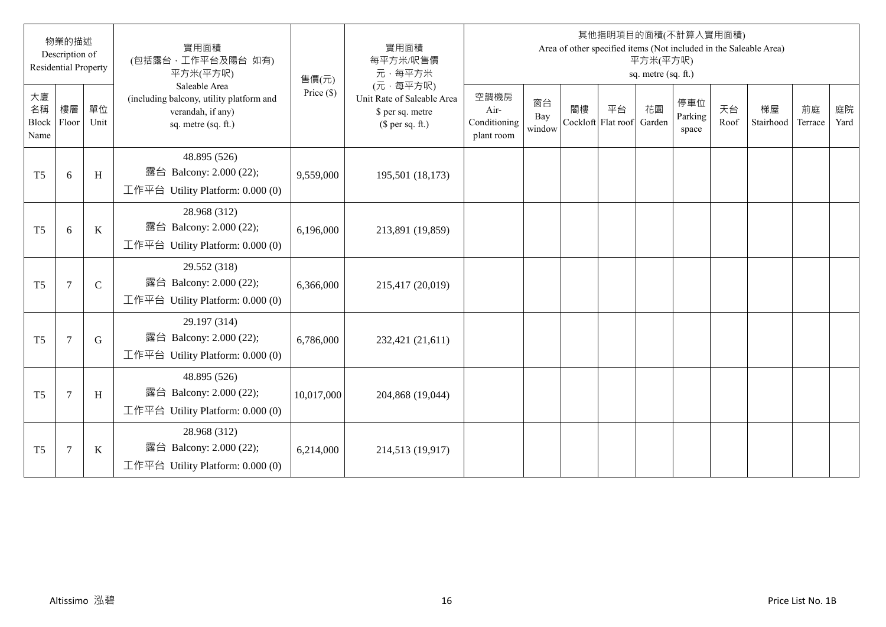|                                  | 物業的描述<br>Description of<br><b>Residential Property</b> |              | 實用面積<br>(包括露台·工作平台及陽台 如有)<br>平方米(平方呎)                                                                 | 售價(元)        | 實用面積<br>每平方米/呎售價<br>元·每平方米                                                     |                                            |                     |                          |    | 平方米(平方呎)<br>sq. metre (sq. ft.) | 其他指明項目的面積(不計算入實用面積)     |            | Area of other specified items (Not included in the Saleable Area) |               |            |
|----------------------------------|--------------------------------------------------------|--------------|-------------------------------------------------------------------------------------------------------|--------------|--------------------------------------------------------------------------------|--------------------------------------------|---------------------|--------------------------|----|---------------------------------|-------------------------|------------|-------------------------------------------------------------------|---------------|------------|
| 大廈<br>名稱<br><b>Block</b><br>Name | 樓層<br>Floor                                            | 單位<br>Unit   | Saleable Area<br>(including balcony, utility platform and<br>verandah, if any)<br>sq. metre (sq. ft.) | Price $(\$)$ | (元·每平方呎)<br>Unit Rate of Saleable Area<br>\$ per sq. metre<br>$$$ per sq. ft.) | 空調機房<br>Air-<br>Conditioning<br>plant room | 窗台<br>Bay<br>window | 閣樓<br>Cockloft Flat roof | 平台 | 花園<br>Garden                    | 停車位<br>Parking<br>space | 天台<br>Roof | 梯屋<br>Stairhood                                                   | 前庭<br>Terrace | 庭院<br>Yard |
| T <sub>5</sub>                   | 6                                                      | $\, {\rm H}$ | 48.895 (526)<br>露台 Balcony: 2.000 (22);<br>工作平台 Utility Platform: $0.000(0)$                          | 9,559,000    | 195,501 (18,173)                                                               |                                            |                     |                          |    |                                 |                         |            |                                                                   |               |            |
| T <sub>5</sub>                   | 6                                                      | $\mathbf K$  | 28.968 (312)<br>露台 Balcony: 2.000 (22);<br>工作平台 Utility Platform: 0.000 (0)                           | 6,196,000    | 213,891 (19,859)                                                               |                                            |                     |                          |    |                                 |                         |            |                                                                   |               |            |
| T <sub>5</sub>                   | $\overline{7}$                                         | $\mathsf{C}$ | 29.552 (318)<br>露台 Balcony: 2.000 (22);<br>工作平台 Utility Platform: $0.000(0)$                          | 6,366,000    | 215,417 (20,019)                                                               |                                            |                     |                          |    |                                 |                         |            |                                                                   |               |            |
| T <sub>5</sub>                   | $7\phantom{.0}$                                        | G            | 29.197 (314)<br>露台 Balcony: 2.000 (22);<br>工作平台 Utility Platform: 0.000 (0)                           | 6,786,000    | 232,421 (21,611)                                                               |                                            |                     |                          |    |                                 |                         |            |                                                                   |               |            |
| T <sub>5</sub>                   | $\overline{7}$                                         | H            | 48.895 (526)<br>露台 Balcony: 2.000 (22);<br>工作平台 Utility Platform: 0.000 (0)                           | 10,017,000   | 204,868 (19,044)                                                               |                                            |                     |                          |    |                                 |                         |            |                                                                   |               |            |
| T <sub>5</sub>                   | $\overline{7}$                                         | K            | 28.968 (312)<br>露台 Balcony: 2.000 (22);<br>工作平台 Utility Platform: $0.000(0)$                          | 6,214,000    | 214,513 (19,917)                                                               |                                            |                     |                          |    |                                 |                         |            |                                                                   |               |            |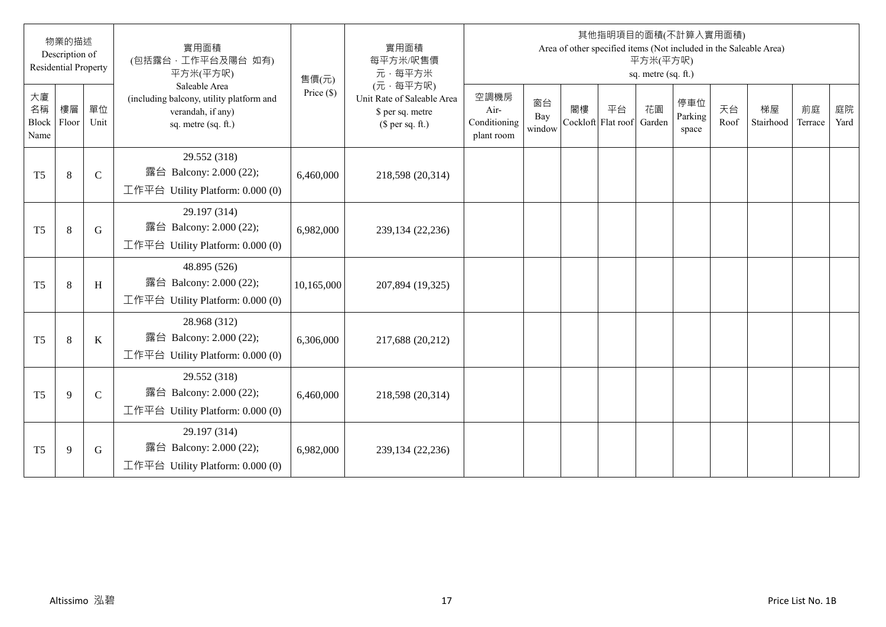|                           | 物業的描述<br>Description of<br><b>Residential Property</b> |              | 實用面積<br>(包括露台·工作平台及陽台 如有)<br>平方米(平方呎)                                                                 | 售價(元)        | 實用面積<br>每平方米/呎售價<br>元·每平方米                                                     |                                            |                     |    |                          | 平方米(平方呎)<br>sq. metre (sq. ft.) | 其他指明項目的面積(不計算入實用面積)     |            | Area of other specified items (Not included in the Saleable Area) |               |            |
|---------------------------|--------------------------------------------------------|--------------|-------------------------------------------------------------------------------------------------------|--------------|--------------------------------------------------------------------------------|--------------------------------------------|---------------------|----|--------------------------|---------------------------------|-------------------------|------------|-------------------------------------------------------------------|---------------|------------|
| 大廈<br>名稱<br>Block<br>Name | 樓層<br>Floor                                            | 單位<br>Unit   | Saleable Area<br>(including balcony, utility platform and<br>verandah, if any)<br>sq. metre (sq. ft.) | Price $(\$)$ | (元·每平方呎)<br>Unit Rate of Saleable Area<br>\$ per sq. metre<br>(\$ per sq. ft.) | 空調機房<br>Air-<br>Conditioning<br>plant room | 窗台<br>Bay<br>window | 閣樓 | 平台<br>Cockloft Flat roof | 花園<br>Garden                    | 停車位<br>Parking<br>space | 天台<br>Roof | 梯屋<br>Stairhood                                                   | 前庭<br>Terrace | 庭院<br>Yard |
| T <sub>5</sub>            | 8                                                      | $\mathsf{C}$ | 29.552 (318)<br>露台 Balcony: 2.000 (22);<br>工作平台 Utility Platform: $0.000(0)$                          | 6,460,000    | 218,598 (20,314)                                                               |                                            |                     |    |                          |                                 |                         |            |                                                                   |               |            |
| T <sub>5</sub>            | 8                                                      | G            | 29.197 (314)<br>露台 Balcony: 2.000 (22);<br>工作平台 Utility Platform: $0.000(0)$                          | 6,982,000    | 239,134 (22,236)                                                               |                                            |                     |    |                          |                                 |                         |            |                                                                   |               |            |
| T <sub>5</sub>            | 8                                                      | H            | 48.895 (526)<br>露台 Balcony: 2.000 (22);<br>工作平台 Utility Platform: $0.000(0)$                          | 10,165,000   | 207,894 (19,325)                                                               |                                            |                     |    |                          |                                 |                         |            |                                                                   |               |            |
| T <sub>5</sub>            | 8                                                      | K            | 28.968 (312)<br>露台 Balcony: 2.000 (22);<br>工作平台 Utility Platform: 0.000 (0)                           | 6,306,000    | 217,688 (20,212)                                                               |                                            |                     |    |                          |                                 |                         |            |                                                                   |               |            |
| T <sub>5</sub>            | 9                                                      | $\mathbf C$  | 29.552 (318)<br>露台 Balcony: 2.000 (22);<br>工作平台 Utility Platform: 0.000 (0)                           | 6,460,000    | 218,598 (20,314)                                                               |                                            |                     |    |                          |                                 |                         |            |                                                                   |               |            |
| T <sub>5</sub>            | 9                                                      | G            | 29.197 (314)<br>露台 Balcony: 2.000 (22);<br>工作平台 Utility Platform: $0.000(0)$                          | 6,982,000    | 239,134 (22,236)                                                               |                                            |                     |    |                          |                                 |                         |            |                                                                   |               |            |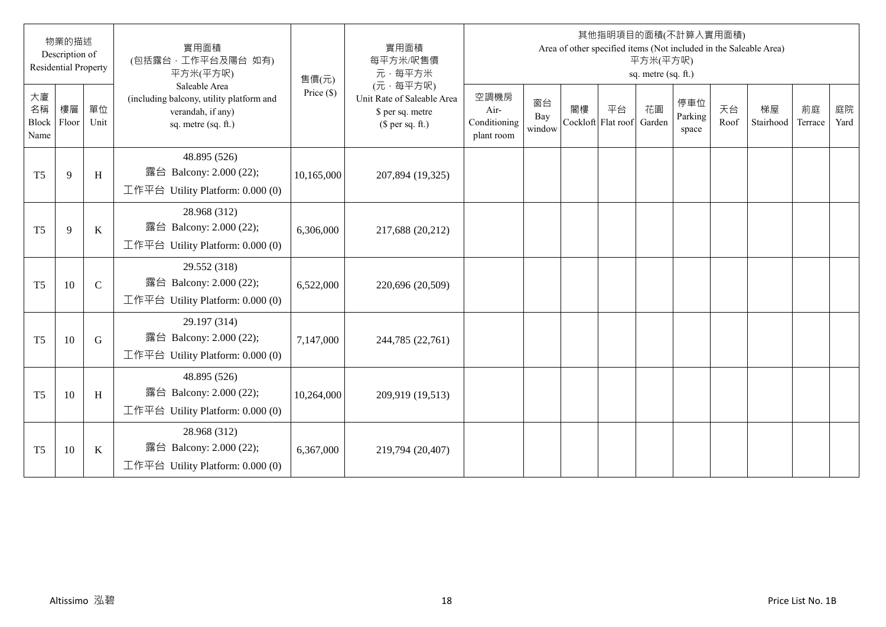|                                  | 物業的描述<br>Description of<br><b>Residential Property</b> |              | 實用面積<br>(包括露台·工作平台及陽台 如有)<br>平方米(平方呎)                                                                 | 售價(元)        | 實用面積<br>每平方米/呎售價<br>元·每平方米                                                     |                                            |                     |                          |    | 平方米(平方呎)<br>sq. metre (sq. ft.) | 其他指明項目的面積(不計算入實用面積)     |            | Area of other specified items (Not included in the Saleable Area) |               |            |
|----------------------------------|--------------------------------------------------------|--------------|-------------------------------------------------------------------------------------------------------|--------------|--------------------------------------------------------------------------------|--------------------------------------------|---------------------|--------------------------|----|---------------------------------|-------------------------|------------|-------------------------------------------------------------------|---------------|------------|
| 大廈<br>名稱<br><b>Block</b><br>Name | 樓層<br>Floor                                            | 單位<br>Unit   | Saleable Area<br>(including balcony, utility platform and<br>verandah, if any)<br>sq. metre (sq. ft.) | Price $(\$)$ | (元·每平方呎)<br>Unit Rate of Saleable Area<br>\$ per sq. metre<br>(\$ per sq. ft.) | 空調機房<br>Air-<br>Conditioning<br>plant room | 窗台<br>Bay<br>window | 閣樓<br>Cockloft Flat roof | 平台 | 花園<br>Garden                    | 停車位<br>Parking<br>space | 天台<br>Roof | 梯屋<br>Stairhood                                                   | 前庭<br>Terrace | 庭院<br>Yard |
| T <sub>5</sub>                   | 9                                                      | H            | 48.895 (526)<br>露台 Balcony: 2.000 (22);<br>工作平台 Utility Platform: 0.000 (0)                           | 10,165,000   | 207,894 (19,325)                                                               |                                            |                     |                          |    |                                 |                         |            |                                                                   |               |            |
| T <sub>5</sub>                   | 9                                                      | $\bf K$      | 28.968 (312)<br>露台 Balcony: 2.000 (22);<br>工作平台 Utility Platform: $0.000(0)$                          | 6,306,000    | 217,688 (20,212)                                                               |                                            |                     |                          |    |                                 |                         |            |                                                                   |               |            |
| T <sub>5</sub>                   | 10                                                     | $\mathsf{C}$ | 29.552 (318)<br>露台 Balcony: 2.000 (22);<br>工作平台 Utility Platform: $0.000(0)$                          | 6,522,000    | 220,696 (20,509)                                                               |                                            |                     |                          |    |                                 |                         |            |                                                                   |               |            |
| T <sub>5</sub>                   | 10                                                     | G            | 29.197 (314)<br>露台 Balcony: 2.000 (22);<br>工作平台 Utility Platform: 0.000 (0)                           | 7,147,000    | 244,785 (22,761)                                                               |                                            |                     |                          |    |                                 |                         |            |                                                                   |               |            |
| T <sub>5</sub>                   | 10                                                     | H            | 48.895 (526)<br>露台 Balcony: 2.000 (22);<br>工作平台 Utility Platform: 0.000 (0)                           | 10,264,000   | 209,919 (19,513)                                                               |                                            |                     |                          |    |                                 |                         |            |                                                                   |               |            |
| T <sub>5</sub>                   | 10                                                     | K            | 28.968 (312)<br>露台 Balcony: 2.000 (22);<br>工作平台 Utility Platform: $0.000(0)$                          | 6,367,000    | 219,794 (20,407)                                                               |                                            |                     |                          |    |                                 |                         |            |                                                                   |               |            |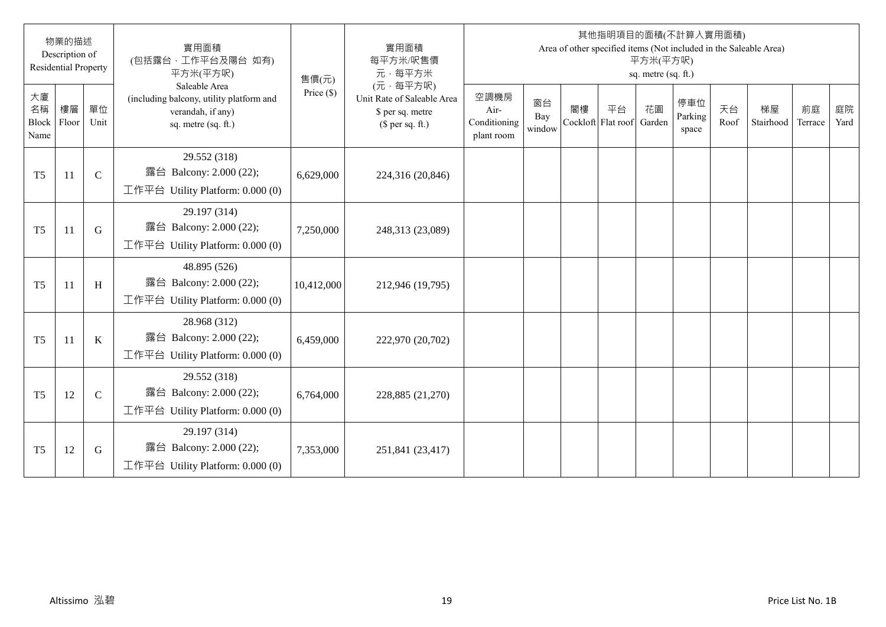|                           | 物業的描述<br>Description of<br><b>Residential Property</b> |              | 實用面積<br>(包括露台·工作平台及陽台 如有)<br>平方米(平方呎)                                                                 | 售價(元)        | 實用面積<br>每平方米/呎售價<br>元·每平方米                                                     |                                            |                     |                          |    | 平方米(平方呎)<br>sq. metre (sq. ft.) | 其他指明項目的面積(不計算入實用面積)     |            | Area of other specified items (Not included in the Saleable Area) |               |            |
|---------------------------|--------------------------------------------------------|--------------|-------------------------------------------------------------------------------------------------------|--------------|--------------------------------------------------------------------------------|--------------------------------------------|---------------------|--------------------------|----|---------------------------------|-------------------------|------------|-------------------------------------------------------------------|---------------|------------|
| 大廈<br>名稱<br>Block<br>Name | 樓層<br>Floor                                            | 單位<br>Unit   | Saleable Area<br>(including balcony, utility platform and<br>verandah, if any)<br>sq. metre (sq. ft.) | Price $(\$)$ | (元·每平方呎)<br>Unit Rate of Saleable Area<br>\$ per sq. metre<br>$$$ per sq. ft.) | 空調機房<br>Air-<br>Conditioning<br>plant room | 窗台<br>Bay<br>window | 閣樓<br>Cockloft Flat roof | 平台 | 花園<br>Garden                    | 停車位<br>Parking<br>space | 天台<br>Roof | 梯屋<br>Stairhood                                                   | 前庭<br>Terrace | 庭院<br>Yard |
| T <sub>5</sub>            | 11                                                     | $\mathbf C$  | 29.552 (318)<br>露台 Balcony: 2.000 (22);<br>工作平台 Utility Platform: $0.000(0)$                          | 6,629,000    | 224,316 (20,846)                                                               |                                            |                     |                          |    |                                 |                         |            |                                                                   |               |            |
| T <sub>5</sub>            | 11                                                     | G            | 29.197 (314)<br>露台 Balcony: 2.000 (22);<br>工作平台 Utility Platform: 0.000 (0)                           | 7,250,000    | 248,313 (23,089)                                                               |                                            |                     |                          |    |                                 |                         |            |                                                                   |               |            |
| T <sub>5</sub>            | 11                                                     | $\, {\rm H}$ | 48.895 (526)<br>露台 Balcony: 2.000 (22);<br>工作平台 Utility Platform: $0.000(0)$                          | 10,412,000   | 212,946 (19,795)                                                               |                                            |                     |                          |    |                                 |                         |            |                                                                   |               |            |
| T <sub>5</sub>            | 11                                                     | $\mathbf K$  | 28.968 (312)<br>露台 Balcony: 2.000 (22);<br>工作平台 Utility Platform: 0.000 (0)                           | 6,459,000    | 222,970 (20,702)                                                               |                                            |                     |                          |    |                                 |                         |            |                                                                   |               |            |
| T <sub>5</sub>            | 12                                                     | $\mathsf{C}$ | 29.552 (318)<br>露台 Balcony: 2.000 (22);<br>工作平台 Utility Platform: 0.000 (0)                           | 6,764,000    | 228,885 (21,270)                                                               |                                            |                     |                          |    |                                 |                         |            |                                                                   |               |            |
| T <sub>5</sub>            | 12                                                     | G            | 29.197 (314)<br>露台 Balcony: 2.000 (22);<br>工作平台 Utility Platform: $0.000(0)$                          | 7,353,000    | 251,841 (23,417)                                                               |                                            |                     |                          |    |                                 |                         |            |                                                                   |               |            |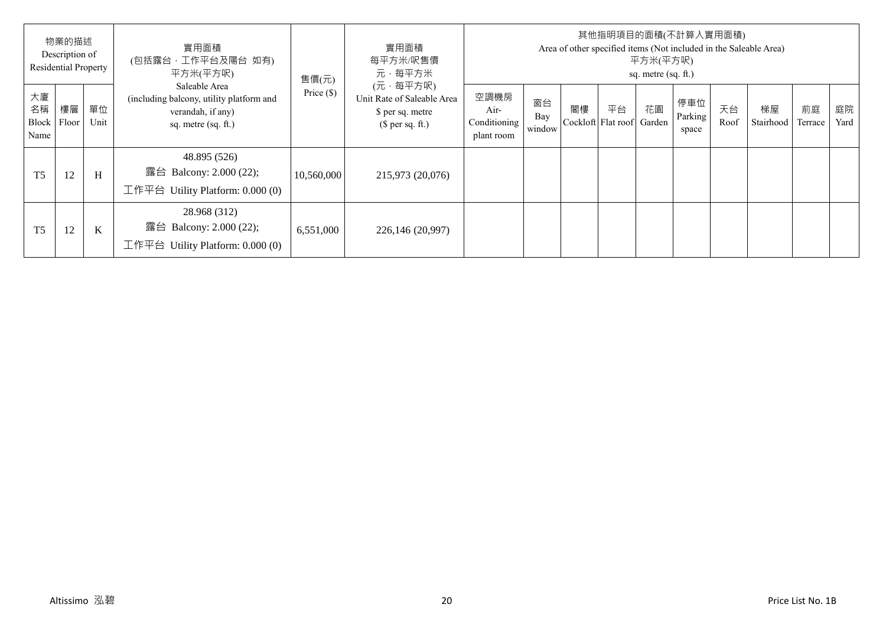|                                   | 物業的描述<br>Description of<br><b>Residential Property</b> |            | 實用面積<br>(包括露台, 工作平台及陽台 如有)<br>平方米(平方呎)                                                                | 售價(元)        | 實用面積<br>每平方米/呎售價<br>元·每平方米                                                     |                                            |                     |    |                          | 平方米(平方呎)<br>sq. metre (sq. ft.) | 其他指明項目的面積(不計算入實用面積)     |            | Area of other specified items (Not included in the Saleable Area) |               |            |
|-----------------------------------|--------------------------------------------------------|------------|-------------------------------------------------------------------------------------------------------|--------------|--------------------------------------------------------------------------------|--------------------------------------------|---------------------|----|--------------------------|---------------------------------|-------------------------|------------|-------------------------------------------------------------------|---------------|------------|
| 大廈<br>名稱<br>Block   Floor<br>Name | 樓層                                                     | 單位<br>Unit | Saleable Area<br>(including balcony, utility platform and<br>verandah, if any)<br>sq. metre (sq. ft.) | Price $(\$)$ | (元·每平方呎)<br>Unit Rate of Saleable Area<br>\$ per sq. metre<br>$$$ per sq. ft.) | 空調機房<br>Air-<br>Conditioning<br>plant room | 窗台<br>Bay<br>window | 閣樓 | 平台<br>Cockloft Flat roof | 花園<br>Garden                    | 停車位<br>Parking<br>space | 天台<br>Roof | 梯屋<br>Stairhood                                                   | 前庭<br>Terrace | 庭院<br>Yard |
| T <sub>5</sub>                    | 12                                                     | H          | 48.895 (526)<br>露台 Balcony: 2.000 (22);<br>工作平台 Utility Platform: $0.000(0)$                          | 10,560,000   | 215,973 (20,076)                                                               |                                            |                     |    |                          |                                 |                         |            |                                                                   |               |            |
| T <sub>5</sub>                    | 12                                                     | K          | 28.968 (312)<br>露台 Balcony: 2.000 (22);<br>工作平台 Utility Platform: $0.000(0)$                          | 6,551,000    | 226,146 (20,997)                                                               |                                            |                     |    |                          |                                 |                         |            |                                                                   |               |            |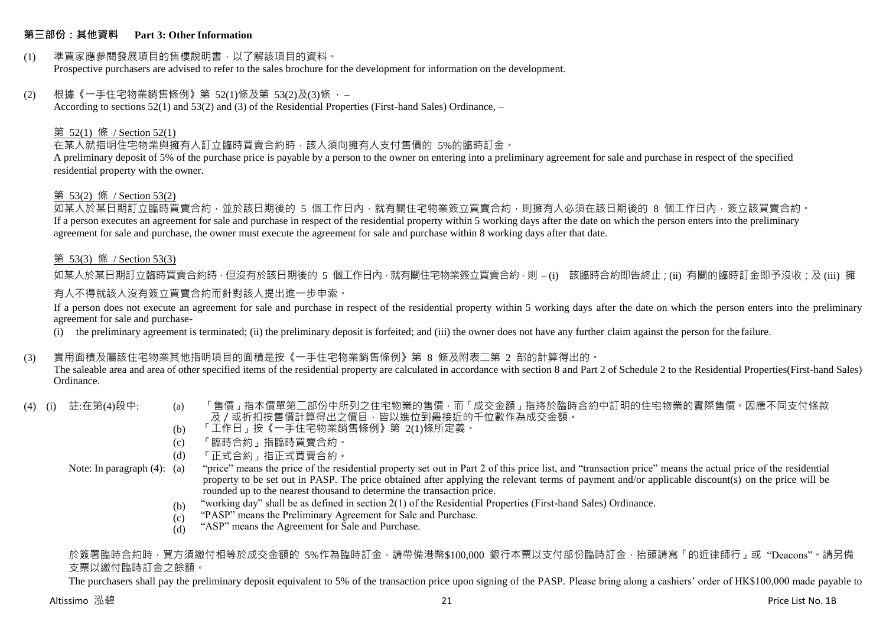## **第三部份:其他資料 Part 3: Other Information**

## (1) 準買家應參閱發展項目的售樓說明書,以了解該項目的資料。

Prospective purchasers are advised to refer to the sales brochure for the development for information on the development.

#### (2) 根據《一手住宅物業銷售條例》第 52(1)條及第 53(2)及(3)條 ,–

According to sections 52(1) and 53(2) and (3) of the Residential Properties (First-hand Sales) Ordinance, –

#### 第 52(1) 條 / Section 52(1)

#### 在某人就指明住宅物業與擁有人訂立臨時買賣合約時,該人須向擁有人支付售價的 5%的臨時訂金。

A preliminary deposit of 5% of the purchase price is payable by a person to the owner on entering into a preliminary agreement for sale and purchase in respect of the specified residential property with the owner.

#### 第 53(2) 條 / Section 53(2)

如某人於某日期訂立臨時買賣合約,並於該日期後的 5 個工作日內,就有關住宅物業簽立買賣合約,則擁有人必須在該日期後的 8 個工作日內,簽立該買賣合約。 If a person executes an agreement for sale and purchase in respect of the residential property within 5 working days after the date on which the person enters into the preliminary agreement for sale and purchase, the owner must execute the agreement for sale and purchase within 8 working days after that date.

#### 第 53(3) 條 / Section 53(3)

如某人於某日期訂立臨時買賣合約時,但沒有於該日期後的 5 個工作日內,就有關住宅物業簽立買賣合約,則 – (i) 該臨時合約即告終止;(ii) 有關的臨時訂金即予沒收;及 (iii) 擁

### 有人不得就該人沒有簽立買賣合約而針對該人提出進一步申索。

If a person does not execute an agreement for sale and purchase in respect of the residential property within 5 working days after the date on which the person enters into the preliminary agreement for sale and purchase-

(i) the preliminary agreement is terminated; (ii) the preliminary deposit is forfeited; and (iii) the owner does not have any further claim against the person for the failure.

#### (3) 實用面積及屬該住宅物業其他指明項目的面積是按《一手住宅物業銷售條例》第 8 條及附表二第 2 部的計算得出的。

The saleable area and area of other specified items of the residential property are calculated in accordance with section 8 and Part 2 of Schedule 2 to the Residential Properties(First-hand Sales) Ordinance.

- 
- (4) (i) 註:在第(4)段中: (a) 「售價」指本價單第二部份中所列之住宅物業的售價,而「成交金額」指將於臨時合約中訂明的住宅物業的實際售價。因應不同支付條款 及/或折扣按售價計算得出之價目,皆以進位到最接近的千位數作為成交金額。
	- (b) 「工作日」按《一手住宅物業銷售條例》第 2(1)條所定義。
	- (c) 「臨時合約」指臨時買賣合約。
	- $(d)$ 「正式合約」指正式買賣合約。

#### Note: In paragraph (4): (a)

"price" means the price of the residential property set out in Part 2 of this price list, and "transaction price" means the actual price of the residential property to be set out in PASP. The price obtained after applying the relevant terms of payment and/or applicable discount(s) on the price will be rounded up to the nearest thousand to determine the transaction price.

- $(h)$ "working day" shall be as defined in section 2(1) of the Residential Properties (First-hand Sales) Ordinance.
- $(c)$ "PASP" means the Preliminary Agreement for Sale and Purchase.
- (d) "ASP" means the Agreement for Sale and Purchase.

#### 於簽署臨時合約時,買方須繳付相等於成交金額的 5%作為臨時訂金,請帶備港幣\$100,000 銀行本票以支付部份臨時訂金,抬頭請寫「的近律師行」或"Deacons"。請另備 支票以繳付臨時訂金之餘額。

The purchasers shall pay the preliminary deposit equivalent to 5% of the transaction price upon signing of the PASP. Please bring along a cashiers' order of HK\$100,000 made payable to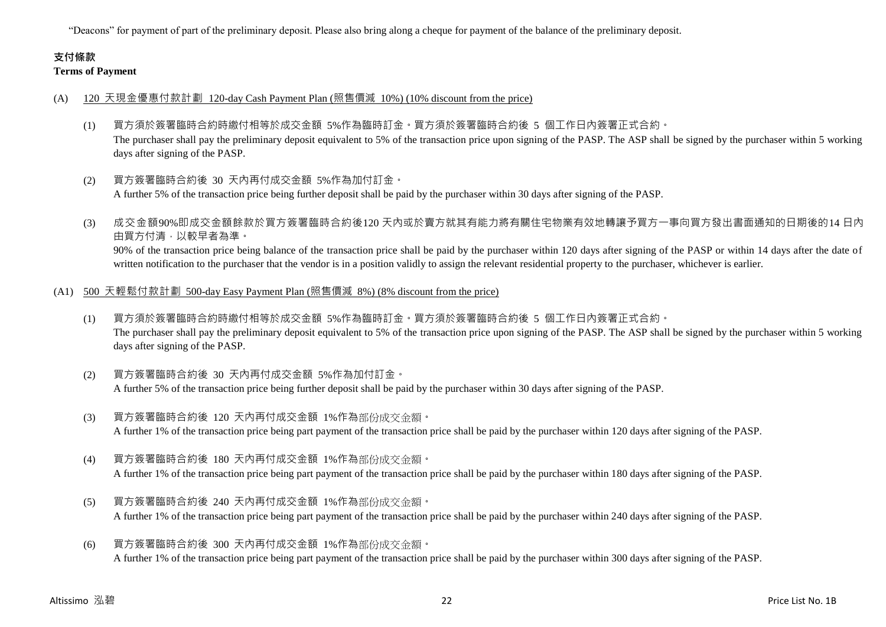"Deacons" for payment of part of the preliminary deposit. Please also bring along a cheque for payment of the balance of the preliminary deposit.

## **支付條款 Terms of Payment**

### (A) 120 天現金優惠付款計劃 120-day Cash Payment Plan (照售價減 10%) (10% discount from the price)

- (1) 買方須於簽署臨時合約時繳付相等於成交金額 5%作為臨時訂金。買方須於簽署臨時合約後 5 個工作日內簽署正式合約。 The purchaser shall pay the preliminary deposit equivalent to 5% of the transaction price upon signing of the PASP. The ASP shall be signed by the purchaser within 5 working days after signing of the PASP.
- (2) 買方簽署臨時合約後 30 天內再付成交金額 5%作為加付訂金。 A further 5% of the transaction price being further deposit shall be paid by the purchaser within 30 days after signing of the PASP.
- (3) 成交金額90%即成交金額餘款於買方簽署臨時合約後120 天內或於賣方就其有能力將有關住宅物業有效地轉讓予買方一事向買方發出書面通知的日期後的14 日內 由買方付清,以較早者為準。

90% of the transaction price being balance of the transaction price shall be paid by the purchaser within 120 days after signing of the PASP or within 14 days after the date of written notification to the purchaser that the vendor is in a position validly to assign the relevant residential property to the purchaser, whichever is earlier.

- (A1) 500 天輕鬆付款計劃 500-day Easy Payment Plan (照售價減 8%) (8% discount from the price)
	- (1) 買方須於簽署臨時合約時繳付相等於成交金額 5%作為臨時訂金。買方須於簽署臨時合約後 5 個工作日內簽署正式合約。 The purchaser shall pay the preliminary deposit equivalent to 5% of the transaction price upon signing of the PASP. The ASP shall be signed by the purchaser within 5 working days after signing of the PASP.
	- (2) 買方簽署臨時合約後 30 天內再付成交金額 5%作為加付訂金。 A further 5% of the transaction price being further deposit shall be paid by the purchaser within 30 days after signing of the PASP.
	- (3) 買方簽署臨時合約後 120 天內再付成交金額 1%作為部份成交金額。 A further 1% of the transaction price being part payment of the transaction price shall be paid by the purchaser within 120 days after signing of the PASP.
	- (4) 買方簽署臨時合約後 180 天內再付成交金額 1%作為部份成交金額。 A further 1% of the transaction price being part payment of the transaction price shall be paid by the purchaser within 180 days after signing of the PASP.
	- (5) 買方簽署臨時合約後 240 天內再付成交金額 1%作為部份成交金額。 A further 1% of the transaction price being part payment of the transaction price shall be paid by the purchaser within 240 days after signing of the PASP.
	- (6) 買方簽署臨時合約後 300 天內再付成交金額 1%作為部份成交金額。 A further 1% of the transaction price being part payment of the transaction price shall be paid by the purchaser within 300 days after signing of the PASP.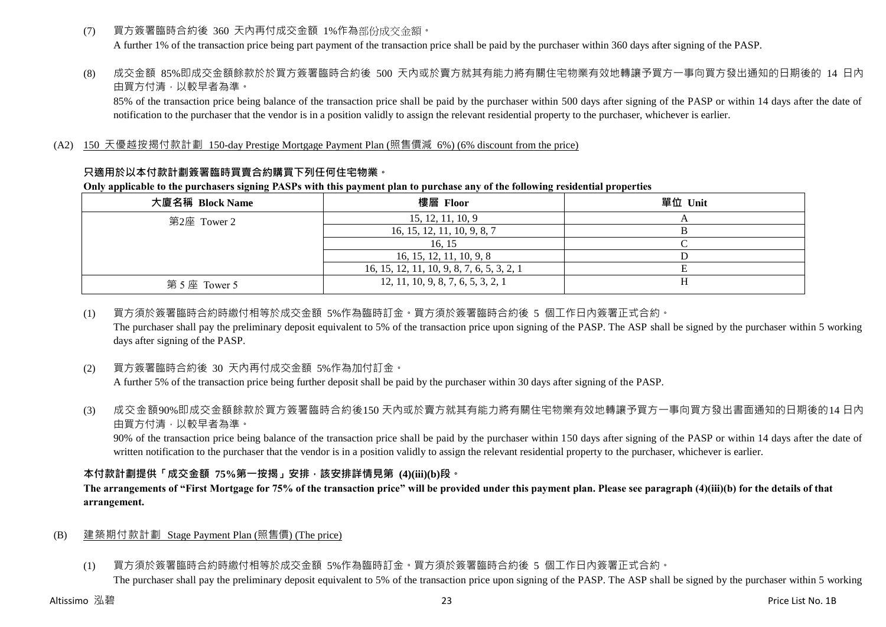- (7) 買方簽署臨時合約後 360 天內再付成交金額 1%作為部份成交金額。 A further 1% of the transaction price being part payment of the transaction price shall be paid by the purchaser within 360 days after signing of the PASP.
- (8) 成交金額 85%即成交金額餘款於於買方簽署臨時合約後 500 天內或於賣方就其有能力將有關住宅物業有效地轉讓予買方一事向買方發出通知的日期後的 14 日內 由買方付清,以較早者為準。

85% of the transaction price being balance of the transaction price shall be paid by the purchaser within 500 days after signing of the PASP or within 14 days after the date of notification to the purchaser that the vendor is in a position validly to assign the relevant residential property to the purchaser, whichever is earlier.

## (A2) 150 天優越按揭付款計劃 150-day Prestige Mortgage Payment Plan (照售價減 6%) (6% discount from the price)

## **只適用於以本付款計劃簽署臨時買賣合約購買下列任何住宅物業。**

#### **Only applicable to the purchasers signing PASPs with this payment plan to purchase any of the following residential properties**

| 大廈名稱 Block Name | 樓層 Floor                                   | 單位 Unit |
|-----------------|--------------------------------------------|---------|
| 第2座 Tower 2     | 15, 12, 11, 10, 9                          |         |
|                 | 16, 15, 12, 11, 10, 9, 8, 7                |         |
|                 | 16.15                                      |         |
|                 | 16, 15, 12, 11, 10, 9, 8                   |         |
|                 | 16, 15, 12, 11, 10, 9, 8, 7, 6, 5, 3, 2, 1 |         |
| 第5座 Tower 5     | 12, 11, 10, 9, 8, 7, 6, 5, 3, 2, 1         |         |

## (1) 買方須於簽署臨時合約時繳付相等於成交金額 5%作為臨時訂金。買方須於簽署臨時合約後 5 個工作日內簽署正式合約。

The purchaser shall pay the preliminary deposit equivalent to 5% of the transaction price upon signing of the PASP. The ASP shall be signed by the purchaser within 5 working days after signing of the PASP.

## (2) 買方簽署臨時合約後 30 天內再付成交金額 5%作為加付訂金。

A further 5% of the transaction price being further deposit shall be paid by the purchaser within 30 days after signing of the PASP.

(3) 成交金額90%即成交金額餘款於買方簽署臨時合約後150 天內或於賣方就其有能力將有關住宅物業有效地轉讓予買方一事向買方發出書面通知的日期後的14 日內 由買方付清,以較早者為準。

90% of the transaction price being balance of the transaction price shall be paid by the purchaser within 150 days after signing of the PASP or within 14 days after the date of written notification to the purchaser that the vendor is in a position validly to assign the relevant residential property to the purchaser, whichever is earlier.

## **本付款計劃提供「成交金額 75%第一按揭」安排,該安排詳情見第 (4)(iii)(b)段。**

## **The arrangements of "First Mortgage for 75% of the transaction price" will be provided under this payment plan. Please see paragraph (4)(iii)(b) for the details of that arrangement.**

## (B) 建築期付款計劃 Stage Payment Plan (照售價) (The price)

(1) 買方須於簽署臨時合約時繳付相等於成交金額 5%作為臨時訂金。買方須於簽署臨時合約後 5 個工作日內簽署正式合約。 The purchaser shall pay the preliminary deposit equivalent to 5% of the transaction price upon signing of the PASP. The ASP shall be signed by the purchaser within 5 working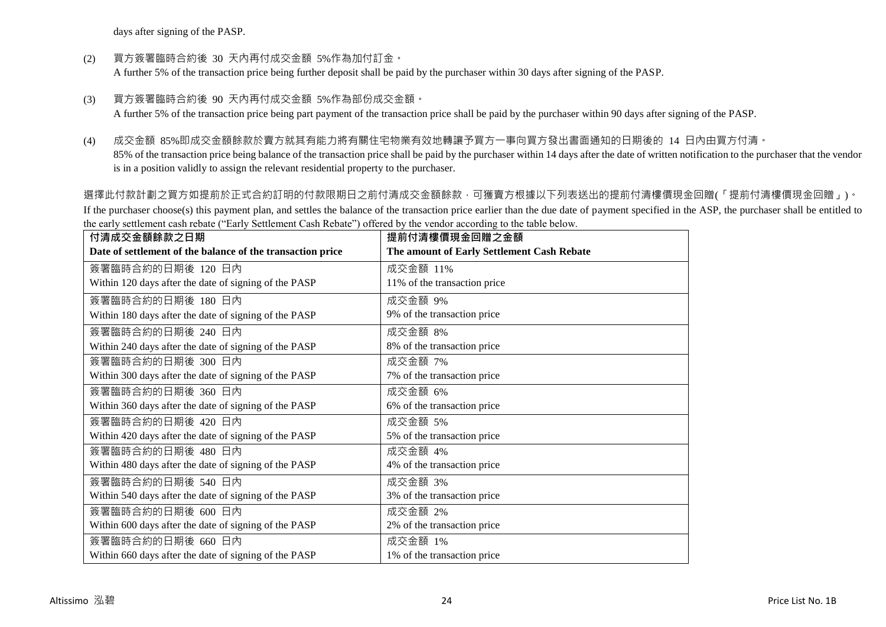days after signing of the PASP.

(2) 買方簽署臨時合約後 30 天內再付成交金額 5%作為加付訂金。

A further 5% of the transaction price being further deposit shall be paid by the purchaser within 30 days after signing of the PASP.

(3) 買方簽署臨時合約後 90 天內再付成交金額 5%作為部份成交金額。

A further 5% of the transaction price being part payment of the transaction price shall be paid by the purchaser within 90 days after signing of the PASP.

(4) 成交金額 85%即成交金額餘款於賣方就其有能力將有關住宅物業有效地轉讓予買方一事向買方發出書面通知的日期後的 14 日內由買方付清。

85% of the transaction price being balance of the transaction price shall be paid by the purchaser within 14 days after the date of written notification to the purchaser that the vendor is in a position validly to assign the relevant residential property to the purchaser.

選擇此付款計劃之買方如提前於正式合約訂明的付款限期日之前付清成交金額餘款,可獲賣方根據以下列表送出的提前付清樓價現金回贈(「提前付清樓價現金回贈」)。 If the purchaser choose(s) this payment plan, and settles the balance of the transaction price earlier than the due date of payment specified in the ASP, the purchaser shall be entitled to the early settlement cash rebate ("Early Settlement Cash Rebate") offered by the vendor according to the table below.

| 付清成交金額餘款之日期                                                | 提前付清樓價現金回贈之金額                              |
|------------------------------------------------------------|--------------------------------------------|
| Date of settlement of the balance of the transaction price | The amount of Early Settlement Cash Rebate |
| 簽署臨時合約的日期後 120 日內                                          | 成交金額 11%                                   |
| Within 120 days after the date of signing of the PASP      | 11% of the transaction price               |
| 簽署臨時合約的日期後 180 日內                                          | 成交金額 9%                                    |
| Within 180 days after the date of signing of the PASP      | 9% of the transaction price                |
| 簽署臨時合約的日期後 240 日內                                          | 成交金額 8%                                    |
| Within 240 days after the date of signing of the PASP      | 8% of the transaction price                |
| 簽署臨時合約的日期後 300 日內                                          | 成交金額 7%                                    |
| Within 300 days after the date of signing of the PASP      | 7% of the transaction price                |
| 簽署臨時合約的日期後 360 日內                                          | 成交金額 6%                                    |
| Within 360 days after the date of signing of the PASP      | 6% of the transaction price                |
| 簽署臨時合約的日期後 420 日內                                          | 成交金額 5%                                    |
| Within 420 days after the date of signing of the PASP      | 5% of the transaction price                |
| 簽署臨時合約的日期後 480 日內                                          | 成交金額 4%                                    |
| Within 480 days after the date of signing of the PASP      | 4% of the transaction price                |
| 簽署臨時合約的日期後 540 日內                                          | 成交金額 3%                                    |
| Within 540 days after the date of signing of the PASP      | 3% of the transaction price                |
| 簽署臨時合約的日期後 600 日內                                          | 成交金額 2%                                    |
| Within 600 days after the date of signing of the PASP      | 2% of the transaction price                |
| 簽署臨時合約的日期後 660 日內                                          | 成交金額 1%                                    |
| Within 660 days after the date of signing of the PASP      | 1% of the transaction price                |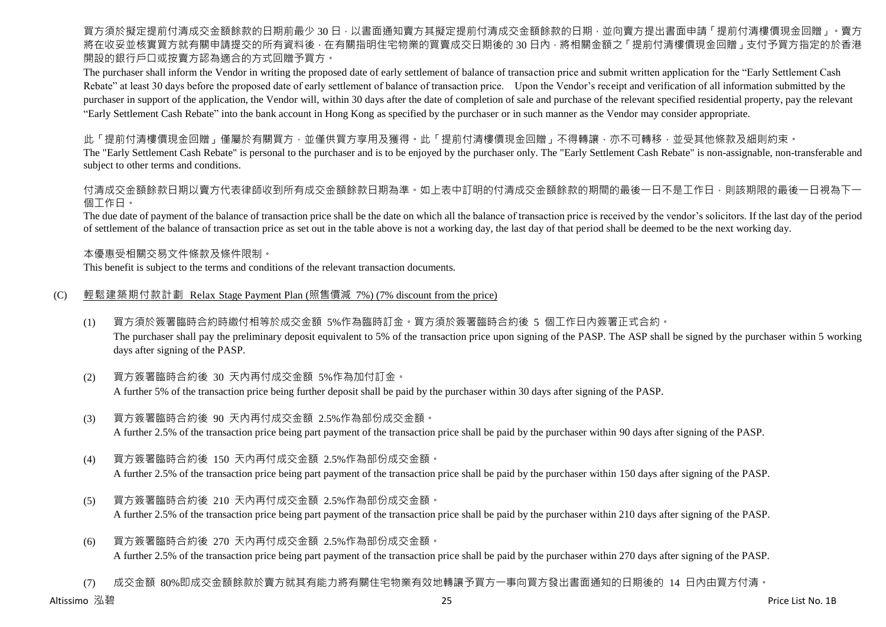買方須於擬定提前付清成交金額餘款的日期前最少 30 日,以書面通知賣方其擬定提前付清成交金額餘款的日期,並向賣方提出書面申請「提前付清樓價現金回贈」。賣方 將在收妥並核實買方就有關申請提交的所有資料後,在有關指明住宅物業的買賣成交日期後的 30 日內,將相關金額之「提前付清樓價現金回贈」支付予買方指定的於香港 開設的銀行戶口或按賣方認為適合的方式回贈予買方。

The purchaser shall inform the Vendor in writing the proposed date of early settlement of balance of transaction price and submit written application for the "Early Settlement Cash Rebate" at least 30 days before the proposed date of early settlement of balance of transaction price. Upon the Vendor's receipt and verification of all information submitted by the purchaser in support of the application, the Vendor will, within 30 days after the date of completion of sale and purchase of the relevant specified residential property, pay the relevant "Early Settlement Cash Rebate" into the bank account in Hong Kong as specified by the purchaser or in such manner as the Vendor may consider appropriate.

此「提前付清樓價現金回贈」僅屬於有關買方,並僅供買方享用及獲得。此「提前付清樓價現金回贈」不得轉讓,亦不可轉移,並受其他條款及細則約束。

The "Early Settlement Cash Rebate" is personal to the purchaser and is to be enjoyed by the purchaser only. The "Early Settlement Cash Rebate" is non-assignable, non-transferable and subject to other terms and conditions.

付清成交金額餘款日期以賣方代表律師收到所有成交金額餘款日期為準。如上表中訂明的付清成交金額餘款的期間的最後一日不是工作日,則該期限的最後一日視為下一 個工作日。

The due date of payment of the balance of transaction price shall be the date on which all the balance of transaction price is received by the vendor's solicitors. If the last day of the period of settlement of the balance of transaction price as set out in the table above is not a working day, the last day of that period shall be deemed to be the next working day.

本優惠受相關交易文件條款及條件限制。

This benefit is subject to the terms and conditions of the relevant transaction documents.

## (C) 輕鬆建築期付款計劃 Relax Stage Payment Plan (照售價減 7%) (7% discount from the price)

(1) 買方須於簽署臨時合約時繳付相等於成交金額 5%作為臨時訂金。買方須於簽署臨時合約後 5 個工作日內簽署正式合約。

The purchaser shall pay the preliminary deposit equivalent to 5% of the transaction price upon signing of the PASP. The ASP shall be signed by the purchaser within 5 working days after signing of the PASP.

- (2) 買方簽署臨時合約後 30 天內再付成交金額 5%作為加付訂金。 A further 5% of the transaction price being further deposit shall be paid by the purchaser within 30 days after signing of the PASP.
- (3) 買方簽署臨時合約後 90 天內再付成交金額 2.5%作為部份成交金額。 A further 2.5% of the transaction price being part payment of the transaction price shall be paid by the purchaser within 90 days after signing of the PASP.
- (4) 買方簽署臨時合約後 150 天內再付成交金額 2.5%作為部份成交金額。 A further 2.5% of the transaction price being part payment of the transaction price shall be paid by the purchaser within 150 days after signing of the PASP.
- (5) 買方簽署臨時合約後 210 天內再付成交金額 2.5%作為部份成交金額。 A further 2.5% of the transaction price being part payment of the transaction price shall be paid by the purchaser within 210 days after signing of the PASP.
- (6) 買方簽署臨時合約後 270 天內再付成交金額 2.5%作為部份成交金額。 A further 2.5% of the transaction price being part payment of the transaction price shall be paid by the purchaser within 270 days after signing of the PASP.
- (7) 成交金額 80%即成交金額餘款於賣方就其有能力將有關住宅物業有效地轉讓予買方一事向買方發出書面通知的日期後的 14 日內由買方付清。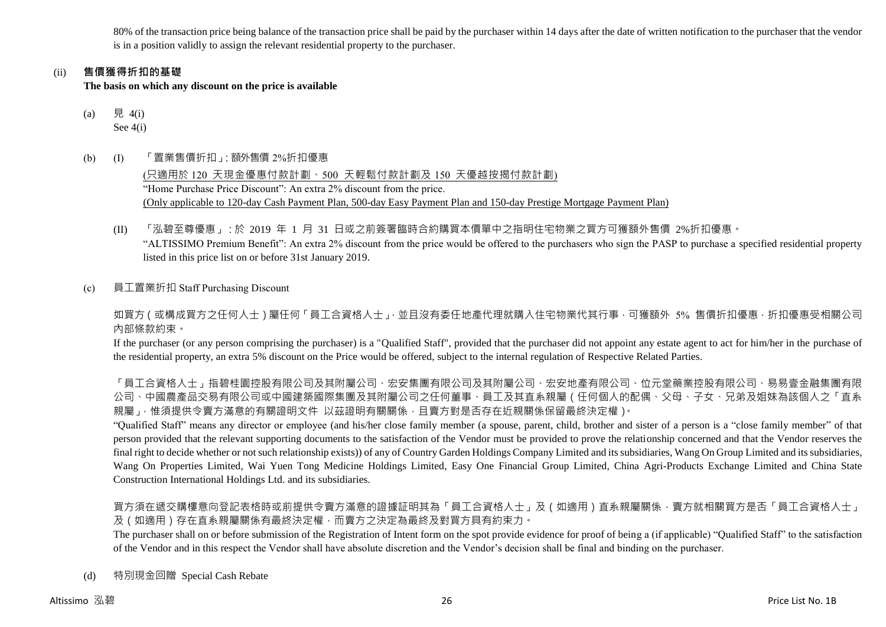80% of the transaction price being balance of the transaction price shall be paid by the purchaser within 14 days after the date of written notification to the purchaser that the vendor is in a position validly to assign the relevant residential property to the purchaser.

## (ii) **售價獲得折扣的基礎**

**The basis on which any discount on the price is available**

- (a) 見 4(i) See 4(i)
- (b) (I) 「置業售價折扣」:額外售價 2%折扣優惠

(只適用於 120 天現金優惠付款計劃、500 天輕鬆付款計劃及 150 天優越按揭付款計劃) "Home Purchase Price Discount": An extra 2% discount from the price. (Only applicable to 120-day Cash Payment Plan, 500-day Easy Payment Plan and 150-day Prestige Mortgage Payment Plan)

- (II) 「泓碧至尊優惠」:於 2019 年 1 月 31 日或之前簽署臨時合約購買本價單中之指明住宅物業之買方可獲額外售價 2%折扣優惠。 "ALTISSIMO Premium Benefit": An extra 2% discount from the price would be offered to the purchasers who sign the PASP to purchase a specified residential property listed in this price list on or before 31st January 2019.
- (c) 員工置業折扣 Staff Purchasing Discount

如買方(或構成買方之任何人士)屬任何「員工合資格人士」,並且沒有委任地產代理就購入住宅物業代其行事,可獲額外 5% 售價折扣優惠,折扣優惠受相關公司 內部條款約束。

If the purchaser (or any person comprising the purchaser) is a "Qualified Staff", provided that the purchaser did not appoint any estate agent to act for him/her in the purchase of the residential property, an extra 5% discount on the Price would be offered, subject to the internal regulation of Respective Related Parties.

「員工合資格人士」指碧桂園控股有限公司及其附屬公司、宏安集團有限公司及其附屬公司、宏安地產有限公司、位元堂藥業控股有限公司、易易壹金融集團有限 公司、中國農產品交易有限公司或中國建築國際集團及其附屬公司之任何董事、員工及其直系親屬(任何個人的配偶、父母、子女、兄弟及姐妹為該個人之「直系 親屬」,惟須提供令賣方滿意的有關證明文件 以茲證明有關關係,且賣方對是否存在近親關係保留最終決定權)。

"Qualified Staff" means any director or employee (and his/her close family member (a spouse, parent, child, brother and sister of a person is a "close family member" of that person provided that the relevant supporting documents to the satisfaction of the Vendor must be provided to prove the relationship concerned and that the Vendor reserves the final right to decide whether or not such relationship exists)) of any of Country Garden Holdings Company Limited and its subsidiaries, Wang On Group Limited and its subsidiaries, Wang On Properties Limited, Wai Yuen Tong Medicine Holdings Limited, Easy One Financial Group Limited, China Agri-Products Exchange Limited and China State Construction International Holdings Ltd. and its subsidiaries.

買方須在遞交購樓意向登記表格時或前提供令賣方滿意的證據証明其為「員工合資格人士」及(如適用)直系親屬關係,賣方就相關買方是否「員工合資格人士」 及(如適用)存在直系親屬關係有最終決定權,而賣方之決定為最終及對買方具有約束力。

The purchaser shall on or before submission of the Registration of Intent form on the spot provide evidence for proof of being a (if applicable) "Qualified Staff" to the satisfaction of the Vendor and in this respect the Vendor shall have absolute discretion and the Vendor's decision shall be final and binding on the purchaser.

(d) 特別現金回贈 Special Cash Rebate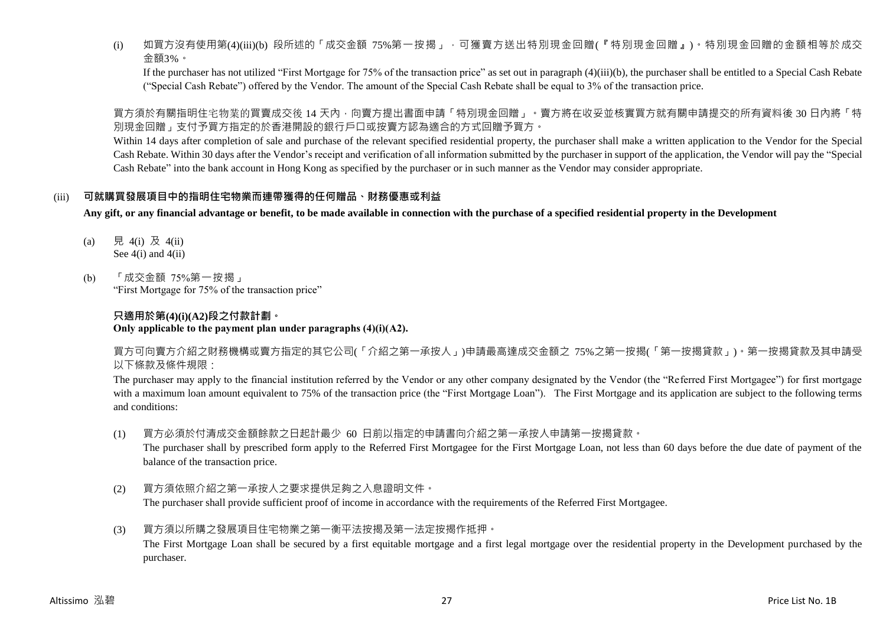(i) 如買方沒有使用第(4)(iii)(b) 段所述的「成交金額 75%第一按揭」,可獲賣方送出特別現金回贈(『特別現金回贈』)。特別現金回贈的金額相等於成交 金額3%。

If the purchaser has not utilized "First Mortgage for 75% of the transaction price" as set out in paragraph (4)(iii)(b), the purchaser shall be entitled to a Special Cash Rebate ("Special Cash Rebate") offered by the Vendor. The amount of the Special Cash Rebate shall be equal to 3% of the transaction price.

買方須於有關指明住宅物業的買賣成交後 14 天內,向賣方提出書面申請「特別現金回贈」。賣方將在收妥並核實買方就有關申請提交的所有資料後 30 日內將「特 別現金回贈」支付予買方指定的於香港開設的銀行戶口或按賣方認為適合的方式回贈予買方。

Within 14 days after completion of sale and purchase of the relevant specified residential property, the purchaser shall make a written application to the Vendor for the Special Cash Rebate. Within 30 days after the Vendor's receipt and verification of all information submitted by the purchaser in support of the application, the Vendor will pay the "Special Cash Rebate" into the bank account in Hong Kong as specified by the purchaser or in such manner as the Vendor may consider appropriate.

## (iii) **可就購買發展項目中的指明住宅物業而連帶獲得的任何贈品、財務優惠或利益**

**Any gift, or any financial advantage or benefit, to be made available in connection with the purchase of a specified residential property in the Development**

- (a) 見 4(i) 及 4(ii) See  $4(i)$  and  $4(ii)$
- (b) 「成交金額 75%第一按揭」 "First Mortgage for 75% of the transaction price"

## **只適用於第(4)(i)(A2)段之付款計劃。 Only applicable to the payment plan under paragraphs (4)(i)(A2).**

買方可向賣方介紹之財務機構或賣方指定的其它公司(「介紹之第一承按人」)申請最高達成交金額之 75%之第一按揭(「第一按揭貸款」)。第一按揭貸款及其申請受 以下條款及條件規限:

The purchaser may apply to the financial institution referred by the Vendor or any other company designated by the Vendor (the "Referred First Mortgagee") for first mortgage with a maximum loan amount equivalent to 75% of the transaction price (the "First Mortgage Loan"). The First Mortgage and its application are subject to the following terms and conditions:

(1) 買方必須於付清成交金額餘款之日起計最少 60 日前以指定的申請書向介紹之第一承按人申請第一按揭貸款。

The purchaser shall by prescribed form apply to the Referred First Mortgagee for the First Mortgage Loan, not less than 60 days before the due date of payment of the balance of the transaction price.

- (2) 買方須依照介紹之第一承按人之要求提供足夠之入息證明文件。 The purchaser shall provide sufficient proof of income in accordance with the requirements of the Referred First Mortgagee.
- (3) 買方須以所購之發展項目住宅物業之第一衡平法按揭及第一法定按揭作抵押。 The First Mortgage Loan shall be secured by a first equitable mortgage and a first legal mortgage over the residential property in the Development purchased by the purchaser.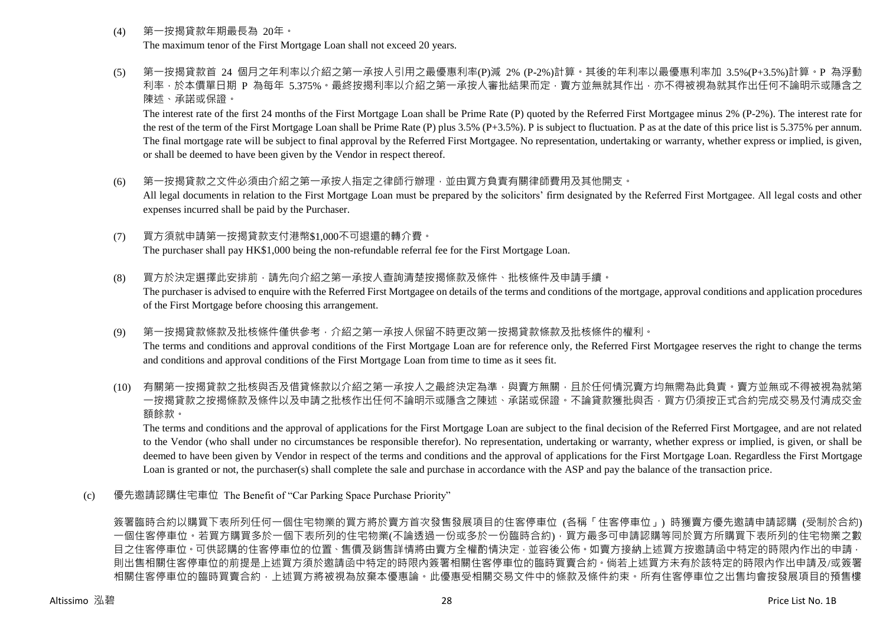- (4) 第一按揭貸款年期最長為 20年。 The maximum tenor of the First Mortgage Loan shall not exceed 20 years.
- (5) 第一按揭貸款首 24 個月之年利率以介紹之第一承按人引用之最優惠利率(P)減 2% (P-2%)計算。其後的年利率以最優惠利率加 3.5%(P+3.5%)計算。P 為浮動 利率,於本價單日期 P 為每年 5.375%。最終按揭利率以介紹之第一承按人審批結果而定,賣方並無就其作出,亦不得被視為就其作出任何不論明示或隱含之 陳述、承諾或保證。

The interest rate of the first 24 months of the First Mortgage Loan shall be Prime Rate (P) quoted by the Referred First Mortgagee minus 2% (P-2%). The interest rate for the rest of the term of the First Mortgage Loan shall be Prime Rate (P) plus 3.5% (P+3.5%). P is subject to fluctuation. P as at the date of this price list is 5.375% per annum. The final mortgage rate will be subject to final approval by the Referred First Mortgagee. No representation, undertaking or warranty, whether express or implied, is given, or shall be deemed to have been given by the Vendor in respect thereof.

- (6) 第一按揭貸款之文件必須由介紹之第一承按人指定之律師行辦理,並由買方負責有關律師費用及其他開支。 All legal documents in relation to the First Mortgage Loan must be prepared by the solicitors' firm designated by the Referred First Mortgagee. All legal costs and other expenses incurred shall be paid by the Purchaser.
- (7) 買方須就申請第一按揭貸款支付港幣\$1,000不可退還的轉介費。 The purchaser shall pay HK\$1,000 being the non-refundable referral fee for the First Mortgage Loan.
- (8) 買方於決定選擇此安排前,請先向介紹之第一承按人查詢清楚按揭條款及條件、批核條件及申請手續。 The purchaser is advised to enquire with the Referred First Mortgagee on details of the terms and conditions of the mortgage, approval conditions and application procedures of the First Mortgage before choosing this arrangement.
- (9) 第一按揭貸款條款及批核條件僅供參考,介紹之第一承按人保留不時更改第一按揭貸款條款及批核條件的權利。 The terms and conditions and approval conditions of the First Mortgage Loan are for reference only, the Referred First Mortgagee reserves the right to change the terms and conditions and approval conditions of the First Mortgage Loan from time to time as it sees fit.
- (10) 有關第一按揭貸款之批核與否及借貸條款以介紹之第一承按人之最終決定為準,與賣方無關,且於任何情況賣方均無需為此負責。賣方並無或不得被視為就第 一按揭貸款之按揭條款及條件以及申請之批核作出任何不論明示或隱含之陳述、承諾或保證。不論貸款獲批與否,買方仍須按正式合約完成交易及付清成交金 額餘款。

The terms and conditions and the approval of applications for the First Mortgage Loan are subject to the final decision of the Referred First Mortgagee, and are not related to the Vendor (who shall under no circumstances be responsible therefor). No representation, undertaking or warranty, whether express or implied, is given, or shall be deemed to have been given by Vendor in respect of the terms and conditions and the approval of applications for the First Mortgage Loan. Regardless the First Mortgage Loan is granted or not, the purchaser(s) shall complete the sale and purchase in accordance with the ASP and pay the balance of the transaction price.

(c) 優先邀請認購住宅車位 The Benefit of "Car Parking Space Purchase Priority"

簽署臨時合約以購買下表所列任何一個住宅物業的買方將於賣方首次發售發展項目的住客停車位 (各稱「住客停車位」) 時獲賣方優先邀請申請認購 (受制於合約) 一個住客停車位。若買方購買多於一個下表所列的住宅物業(不論透過一份或多於一份臨時合約),買方最多可申請認購等同於買方所購買下表所列的住宅物業之數 目之住客停車位。可供認購的住客停車位的位置、售價及銷售詳情將由賣方全權酌情決定,並容後公佈。如賣方接納上述買方按邀請函中特定的時限內作出的申請, 則出售相關住客停車位的前提是上述買方須於邀請函中特定的時限內簽署相關住客停車位的臨時買賣合約。倘若上述買方未有於該特定的時限內作出申請及/或簽署 相關住客停車位的臨時買賣合約,上述買方將被視為放棄本優惠論。此優惠受相關交易文件中的條款及條件約束。所有住客停車位之出售均會按發展項目的預售樓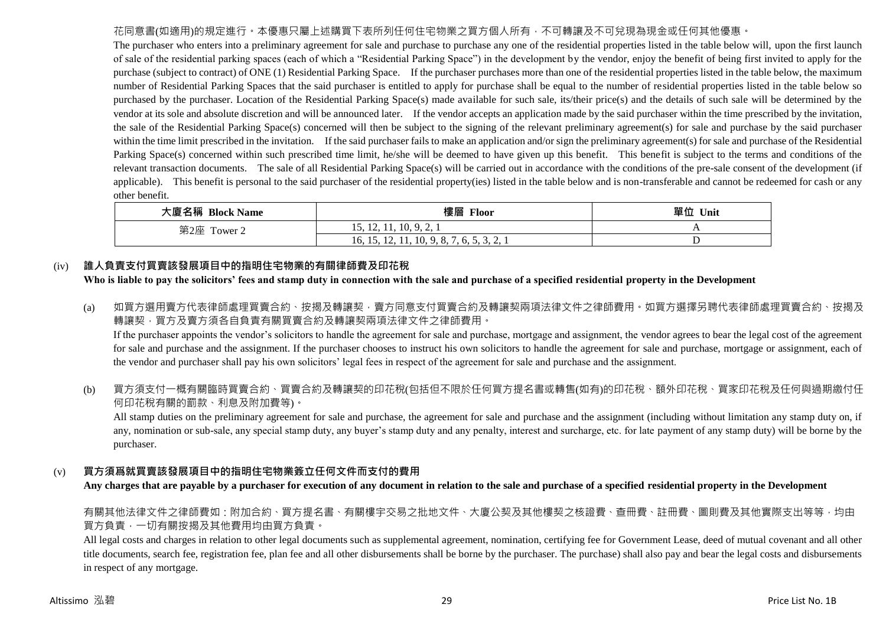## 花同意書(如適用)的規定進行。本優惠只屬上述購買下表所列任何住宅物業之買方個人所有,不可轉讓及不可兌現為現金或任何其他優惠。

The purchaser who enters into a preliminary agreement for sale and purchase to purchase any one of the residential properties listed in the table below will, upon the first launch of sale of the residential parking spaces (each of which a "Residential Parking Space") in the development by the vendor, enjoy the benefit of being first invited to apply for the purchase (subject to contract) of ONE (1) Residential Parking Space. If the purchaser purchases more than one of the residential properties listed in the table below, the maximum number of Residential Parking Spaces that the said purchaser is entitled to apply for purchase shall be equal to the number of residential properties listed in the table below so purchased by the purchaser. Location of the Residential Parking Space(s) made available for such sale, its/their price(s) and the details of such sale will be determined by the vendor at its sole and absolute discretion and will be announced later. If the vendor accepts an application made by the said purchaser within the time prescribed by the invitation, the sale of the Residential Parking Space(s) concerned will then be subject to the signing of the relevant preliminary agreement(s) for sale and purchase by the said purchaser within the time limit prescribed in the invitation. If the said purchaser fails to make an application and/or sign the preliminary agreement(s) for sale and purchase of the Residential Parking Space(s) concerned within such prescribed time limit, he/she will be deemed to have given up this benefit. This benefit is subject to the terms and conditions of the relevant transaction documents. The sale of all Residential Parking Space(s) will be carried out in accordance with the conditions of the pre-sale consent of the development (if applicable). This benefit is personal to the said purchaser of the residential property(ies) listed in the table below and is non-transferable and cannot be redeemed for cash or any other benefit.

| 大廈名稱 Block Name | 樓層<br><b>Floor</b>                                    | 單位<br>Unit |
|-----------------|-------------------------------------------------------|------------|
| 第2座<br>Tower 2  | 15, 12, 11, 10, 9, 2,                                 |            |
|                 | . A . A<br>16, 15, 12, 11, 10, 9, 8, 7, 6, 5, 5, 2, 1 |            |

## (iv) **誰人負責支付買賣該發展項目中的指明住宅物業的有關律師費及印花稅**

## **Who is liable to pay the solicitors' fees and stamp duty in connection with the sale and purchase of a specified residential property in the Development**

(a) 如買方選用賣方代表律師處理買賣合約、按揭及轉讓契,賣方同意支付買賣合約及轉讓契兩項法律文件之律師費用。如買方選擇另聘代表律師處理買賣合約、按揭及 轉讓契,買方及賣方須各自負責有關買賣合約及轉讓契兩項法律文件之律師費用。

If the purchaser appoints the vendor's solicitors to handle the agreement for sale and purchase, mortgage and assignment, the vendor agrees to bear the legal cost of the agreement for sale and purchase and the assignment. If the purchaser chooses to instruct his own solicitors to handle the agreement for sale and purchase, mortgage or assignment, each of the vendor and purchaser shall pay his own solicitors' legal fees in respect of the agreement for sale and purchase and the assignment.

(b) 買方須支付一概有關臨時買賣合約、買賣合約及轉讓契的印花稅(包括但不限於任何買方提名書或轉售(如有)的印花稅、額外印花稅、買家印花稅及任何與過期繳付任 何印花稅有關的罰款、利息及附加費等)。

All stamp duties on the preliminary agreement for sale and purchase, the agreement for sale and purchase and the assignment (including without limitation any stamp duty on, if any, nomination or sub-sale, any special stamp duty, any buyer's stamp duty and any penalty, interest and surcharge, etc. for late payment of any stamp duty) will be borne by the purchaser.

## (v) **買方須爲就買賣該發展項目中的指明住宅物業簽立任何文件而支付的費用**

**Any charges that are payable by a purchaser for execution of any document in relation to the sale and purchase of a specified residential property in the Development**

有關其他法律文件之律師費如:附加合約、買方提名書、有關樓宇交易之批地文件、大廈公契及其他樓契之核證費、查冊費、註冊費、圖則費及其他實際支出等等,均由 買方負責,一切有關按揭及其他費用均由買方負責。

All legal costs and charges in relation to other legal documents such as supplemental agreement, nomination, certifying fee for Government Lease, deed of mutual covenant and all other title documents, search fee, registration fee, plan fee and all other disbursements shall be borne by the purchaser. The purchase) shall also pay and bear the legal costs and disbursements in respect of any mortgage.